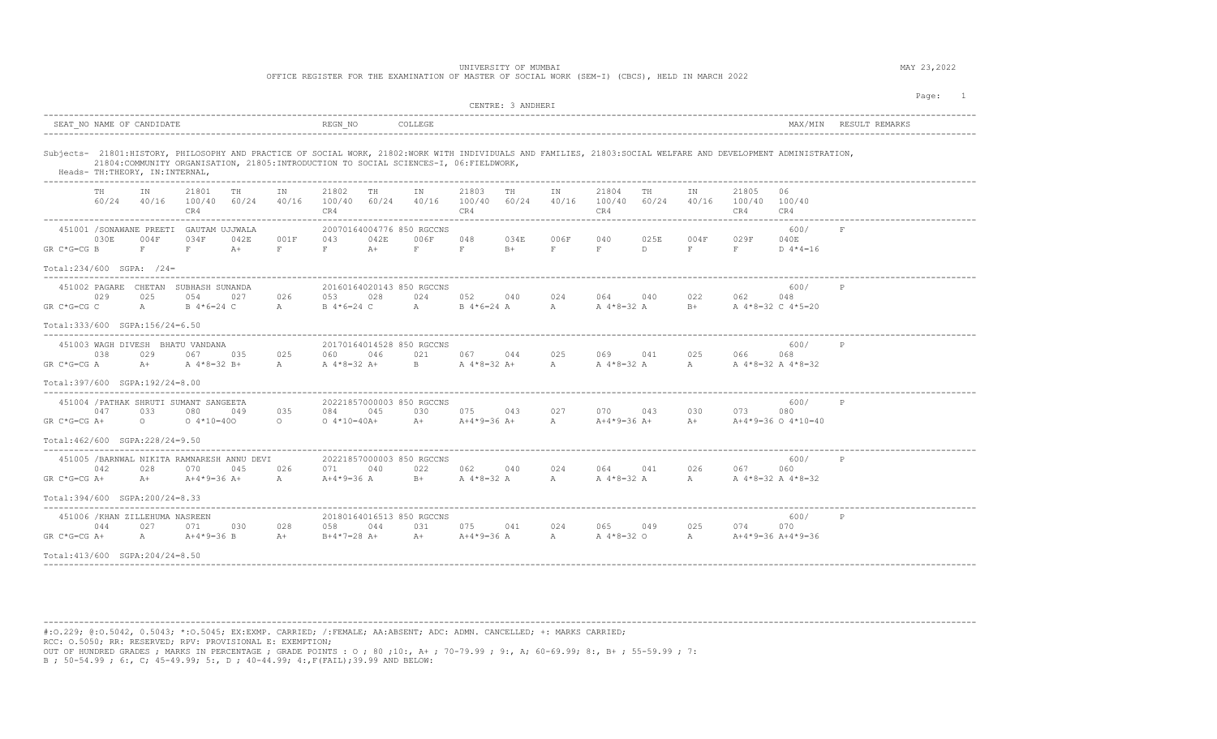OFFICE REGISTER FOR THE EXAMINATION OF MASTER OF SOCIAL WORK (SEM-I) (CBCS), HELD IN MARCH 2022

|                                                                                                                                                                                                                                                                                                |                                                                                                            | CENTRE: 3 ANDHERI                                                                 |                                                                                        | Page:<br>$\overline{1}$ |
|------------------------------------------------------------------------------------------------------------------------------------------------------------------------------------------------------------------------------------------------------------------------------------------------|------------------------------------------------------------------------------------------------------------|-----------------------------------------------------------------------------------|----------------------------------------------------------------------------------------|-------------------------|
| SEAT NO NAME OF CANDIDATE                                                                                                                                                                                                                                                                      | REGN NO<br>COLLEGE                                                                                         |                                                                                   | MAX/MIN RESULT REMARKS                                                                 |                         |
| Subjects- 21801:HISTORY, PHILOSOPHY AND PRACTICE OF SOCIAL WORK, 21802:WORK WITH INDIVIDUALS AND FAMILIES, 21803:SOCIAL WELFARE AND DEVELOPMENT ADMINISTRATION,<br>21804: COMMUNITY ORGANISATION, 21805: INTRODUCTION TO SOCIAL SCIENCES-I, 06: FIELDWORK,<br>Heads- TH: THEORY, IN: INTERNAL, |                                                                                                            |                                                                                   |                                                                                        |                         |
| 21801<br>TN<br>TH<br>IN<br>60/24<br>40/16 100/40 60/24<br>40/16<br>CR4                                                                                                                                                                                                                         | 21802<br>TH<br>T N<br>100/40 60/24<br>CR4                                                                  | 21803<br>TH<br>21804<br>TN<br>40/16 100/40 60/24<br>40/16<br>100/40<br>CR4<br>CR4 | TN<br>21805<br>06<br>TH<br>40/16 100/40 100/40<br>60/24<br>CR4<br>CR4                  |                         |
| 451001 / SONAWANE PREETI GAUTAM UJJWALA<br>030E<br>034F<br>042E<br>001F<br>004F<br>$F$ and $F$<br>$F$ and $F$<br>GR C*G=CG B<br>$F$ and $F$<br>$A+$                                                                                                                                            | 20070164004776 850 RGCCNS<br>042E<br>006F<br>043<br>$A+$<br>$\mathbf{F}$ , and $\mathbf{F}$<br>$F$ and $F$ | 048<br>034E<br>006F<br>040<br>F<br>$F$ and $F$<br>$\mathbf{F}$ .<br>$B+$          | 600/<br>F<br>025E<br>004F<br>029F<br>040E<br>D<br>$F = 1$<br>$F$ and $F$<br>D $4*4=16$ |                         |
| Total:234/600 SGPA: /24=<br>___________________________                                                                                                                                                                                                                                        |                                                                                                            |                                                                                   |                                                                                        |                         |
| 451002 PAGARE CHETAN SUBHASH SUNANDA<br>029<br>025<br>054<br>026<br>027<br>$GR C*G=CG C$<br>A<br>B 4*6=24 C<br>$A$ and $A$                                                                                                                                                                     | 20160164020143 850 RGCCNS<br>028<br>024<br>053<br>B 4*6=24 C                                               | 052<br>024<br>064<br>040<br>A B 4 * 6=24 A<br>$\mathbb{A}$                        | 600/<br>P<br>040<br>022<br>062<br>048<br>B+ A 4*8=32 C 4*5=20<br>A 4*8=32 A            |                         |
| Total:333/600 SGPA:156/24=6.50                                                                                                                                                                                                                                                                 |                                                                                                            |                                                                                   |                                                                                        |                         |
| 451003 WAGH DIVESH BHATU VANDANA<br>038<br>029<br>067<br>035<br>025<br>A 4*8=32 B+<br>$GR C*G=CG A$<br>$A +$<br>$\overline{A}$                                                                                                                                                                 | 20170164014528 850 RGCCNS<br>060<br>046<br>021<br>$B = 1$<br>A 4*8=32 A+                                   | 067<br>044<br>025<br>069<br>A 4 * 8 = 32 A +<br>A                                 | 600/<br>P<br>041<br>025<br>066<br>068<br>A A 4 * 8 = 32 A 4 * 8 = 32<br>A 4*8=32 A     |                         |
| Total:397/600 SGPA:192/24=8.00                                                                                                                                                                                                                                                                 |                                                                                                            |                                                                                   |                                                                                        |                         |
| 451004 / PATHAK SHRUTI SUMANT SANGEETA<br>047<br>033<br>080<br>035<br>049<br>GR C*G=CG A+<br>$0 \t 0 \t 4*10=400$<br>$\circ$                                                                                                                                                                   | 20221857000003 850 RGCCNS<br>045<br>030<br>084<br>$0.4*10=40A+$                                            | 075<br>043<br>027<br>070 - 10<br>$\mathbb{A}$<br>A+ $A+4*9=36$ A+                 | 600/<br>043<br>030<br>073<br>080<br>A+4*9=36 A+<br>A+ $A+4*9=36$ O $4*10=40$           |                         |
| Total: 462/600 SGPA: 228/24=9.50                                                                                                                                                                                                                                                               |                                                                                                            |                                                                                   |                                                                                        |                         |
| 451005 /BARNWAL NIKITA RAMNARESH ANNU DEVI<br>028<br>042<br>070<br>045<br>026<br>A+4*9=36 A+<br>$GR C*G=CG A+$<br>$A +$<br>$\mathbb A$                                                                                                                                                         | 20221857000003 850 RGCCNS<br>022<br>071<br>040<br>A+4*9=36 A<br>$B +$                                      | 062<br>040<br>024<br>064<br>A 4*8=32 A<br>A                                       | 600/<br>P<br>041<br>026<br>067<br>060<br>A 4*8=32 A<br>A A 4 * 8 = 32 A 4 * 8 = 32     |                         |
| $Total:394/600$ $SGPA:200/24=8.33$                                                                                                                                                                                                                                                             |                                                                                                            |                                                                                   |                                                                                        |                         |
| 451006 / KHAN ZILLEHUMA NASREEN<br>044<br>027<br>030<br>028<br>071<br>GR C*G=CG A+<br>$A \sim$<br>A+4*9=36 B<br>$A+$<br>Total: 413/600 SGPA: 204/24=8.50                                                                                                                                       | 20180164016513 850 RGCCNS<br>044<br>031<br>058<br>$B+4*7=28$ A+                                            | 075<br>024<br>065<br>041<br>A+ $A+4*9=36$ A<br>$\mathbb{A}$                       | 600/<br>P<br>049<br>025<br>074<br>070<br>A 4*8=32 O A A+4*9=36 A+4*9=36                |                         |

---------------------------------------------------------------------------------------------------------------------------------------------------------------------------------------- #:O.229; @:O.5042, 0.5043; \*:O.5045; EX:EXMP. CARRIED; /:FEMALE; AA:ABSENT; ADC: ADMN. CANCELLED; +: MARKS CARRIED; RCC: O.5050; RR: RESERVED; RPV: PROVISIONAL E: EXEMPTION; OUT OF HUNDRED GRADES ; MARKS IN PERCENTAGE ; GRADE POINTS : O ; 80 ;10:, A+ ; 70-79.99 ; 9:, A; 60-69.99; 8:, B+ ; 55-59.99 ; 7: B ; 50-54.99 ; 6:, C; 45-49.99; 5:, D ; 40-44.99; 4:,F(FAIL);39.99 AND BELOW: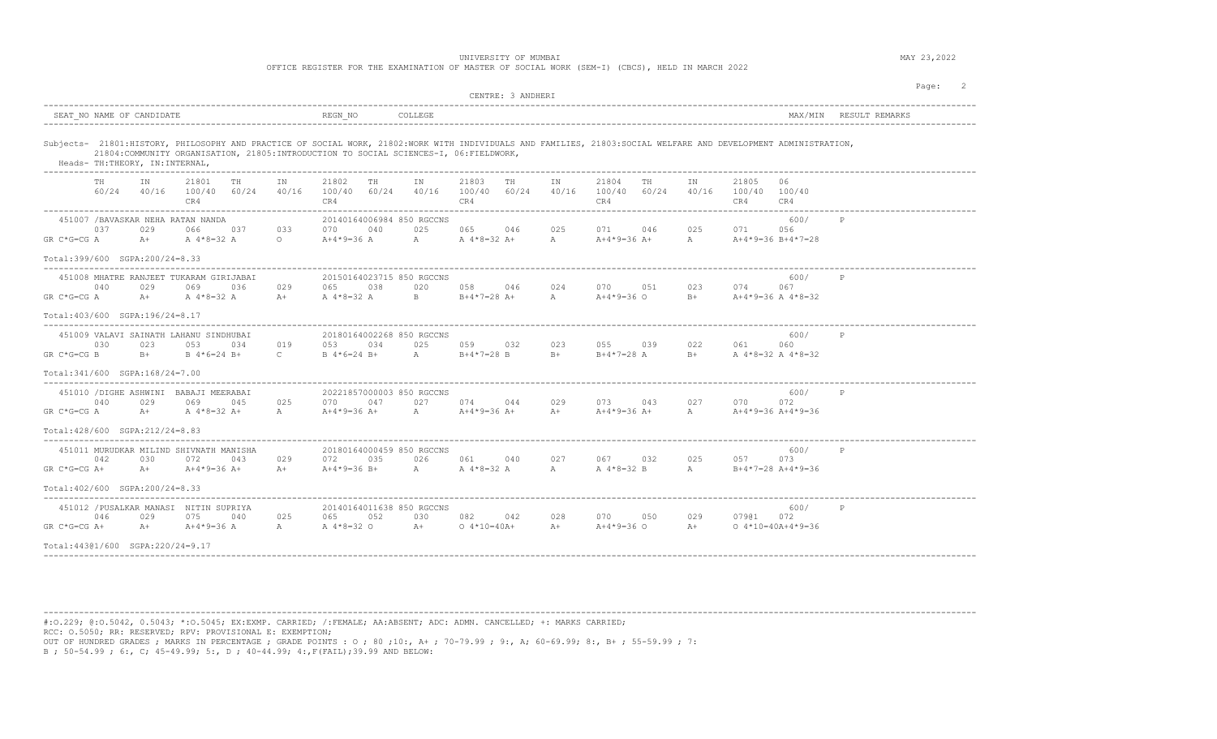|                |      |                                                 |                                                                                                                             |     |                                                                                        |                                |           |                                  | UNIVERSITY OF MUMBAI  |                   |              | OFFICE REGISTER FOR THE EXAMINATION OF MASTER OF SOCIAL WORK (SEM-I) (CBCS), HELD IN MARCH 2022 |     |                |                                                                            |                                                                                                                                                                 |                        | MAY 23,2022 |         |  |
|----------------|------|-------------------------------------------------|-----------------------------------------------------------------------------------------------------------------------------|-----|----------------------------------------------------------------------------------------|--------------------------------|-----------|----------------------------------|-----------------------|-------------------|--------------|-------------------------------------------------------------------------------------------------|-----|----------------|----------------------------------------------------------------------------|-----------------------------------------------------------------------------------------------------------------------------------------------------------------|------------------------|-------------|---------|--|
|                |      |                                                 |                                                                                                                             |     |                                                                                        |                                |           |                                  |                       | CENTRE: 3 ANDHERI |              |                                                                                                 |     |                |                                                                            |                                                                                                                                                                 |                        |             | Page: 2 |  |
|                |      | SEAT NO NAME OF CANDIDATE                       |                                                                                                                             |     |                                                                                        | REGN NO                        |           | COLLEGE                          |                       |                   |              |                                                                                                 |     |                |                                                                            |                                                                                                                                                                 | MAX/MIN RESULT REMARKS |             |         |  |
|                |      | Heads- TH: THEORY, IN: INTERNAL,                | 21804: COMMUNITY ORGANISATION, 21805: INTRODUCTION TO SOCIAL SCIENCES-I, 06: FIELDWORK,                                     |     |                                                                                        |                                |           |                                  |                       |                   |              |                                                                                                 |     |                |                                                                            | Subjects- 21801:HISTORY, PHILOSOPHY AND PRACTICE OF SOCIAL WORK, 21802:WORK WITH INDIVIDUALS AND FAMILIES, 21803:SOCIAL WELFARE AND DEVELOPMENT ADMINISTRATION, |                        |             |         |  |
|                | TH   | TN                                              | 21801<br>$60/24$ $40/16$ $100/40$ $60/24$ $40/16$<br>CR4                                                                    | TH  | IN                                                                                     | 21802<br>100/40 60/24<br>CR4   | <b>TH</b> | IN<br>40/16 100/40 60/24 40/16   | 21803<br>CR4          | <b>TH</b>         | IN           | 21804<br>100/40 60/24<br>CR4                                                                    | TH  | T <sub>N</sub> | 21805<br>40/16 100/40 100/40<br>CR4                                        | 06<br>CR4                                                                                                                                                       |                        |             |         |  |
| $GR C*G=CG A$  | 0.37 | 029<br>Total:399/600 SGPA:200/24=8.33           | 451007 /BAVASKAR NEHA RATAN NANDA<br>066<br>$A+$ $A*8=32$ A                                                                 |     | 037 033 070<br>$\overline{O}$ and $\overline{O}$ and $\overline{O}$ and $\overline{O}$ | $A+4*9=36$ A $A$ A $4*8=32$ A+ | 040       | 20140164006984 850 RGCCNS<br>025 | 065 046               |                   | 025          | 071 046<br>$A = A + 4 * 9 = 36 A +$                                                             |     |                | 025 071 056<br>A $A+4*9=36 B+4*7=28$                                       | 600/                                                                                                                                                            | P                      |             |         |  |
| GR C*G=CG A    | 040  | 029<br>Total: 403/600 SGPA: 196/24=8.17         | 451008 MHATRE RANJEET TUKARAM GIRIJABAI<br>069 036                                                                          |     | --------------------<br>029                                                            | 065 038                        |           | 20150164023715 850 RGCCNS        | 020 058 046           |                   | 024          | 070 051<br>A+ A 4*8=32 A A+ A 4*8=32 A B B+4*7=28 A+ A A+4*9=36 O                               |     |                | 023 074<br>B+ $A+4*9=36 A 4*8=32$                                          | 600/<br>067                                                                                                                                                     | P                      |             |         |  |
| GR C*G=CG B    | 0.30 | 023<br>$B+$<br>Total: 341/600 SGPA: 168/24=7.00 | 451009 VALAVI SAINATH LAHANU SINDHUBAI<br>0.5.3<br>B 4*6=24 B+                                                              | 034 | 019<br>$\overline{C}$                                                                  | 053 034<br>$B \ 4*6=24 B+$     |           | 20180164002268 850 RGCCNS<br>025 | A B+4*7=28 B B+       |                   |              |                                                                                                 |     |                | 059 032 023 055 039 022 061 060<br>$B+4*7=28$ A $B+$ A $4*8=32$ A $4*8=32$ | 600/                                                                                                                                                            |                        |             |         |  |
| $GR C*G=CG A$  | 040  | 029<br>Total: 428/600 SGPA: 212/24=8.83         | 451010 / DIGHE ASHWINI BABAJI MEERABAI<br>069<br>$A+$ $A + 8 = 32$ $A+$ $A$ $A + 4 + 9 = 36$ $A+$ $A$ $A + 4 + 9 = 36$ $A+$ | 045 | 025                                                                                    |                                |           | 20221857000003 850 RGCCNS        |                       |                   |              | 070 047 027 074 044 029 073 043<br>$A+$ $A+4+9=36$ $A+$                                         |     | 027            | 0.70 0.72<br>A $A+4*9=36 A+4*9=36$                                         | 600/                                                                                                                                                            | P                      |             |         |  |
| $GR C*G=CG A+$ | 042  | 030<br>$A+$<br>Total: 402/600 SGPA: 200/24=8.33 | 451011 MURUDKAR MILIND SHIVNATH MANISHA<br>072<br>$A+4*9=36$ A+                                                             | 043 | 029                                                                                    | 072                            | 035       | 20180164000459 850 RGCCNS<br>026 | 061                   | 040               | 027          | 067 032<br>A+ $A+4*9=36$ B+ $A$ $A+8=32$ A $A$ $A$ $A+8=32$ B                                   |     | 025            | A B+4*7=28 A+4*9=36                                                        | 600/<br>073                                                                                                                                                     |                        |             |         |  |
| $GR C*G=CG A+$ | 046  | 029                                             | 451012 / PUSALKAR MANASI NITIN SUPRIYA<br>075<br>A+ $A+4*9=36$ A                                                            | 040 | 025<br>$\mathbb{A}$                                                                    | 065<br>A 4*8=32 O              | 052       | 20140164011638 850 RGCCNS<br>030 | 082<br>A+ 0 4*10=40A+ | 042               | 028<br>$A +$ | 070<br>A+4*9=36 O                                                                               | 050 | 029<br>$A +$   | 07901 072                                                                  | 600/<br>$0.4*10=40A+4*9=36$                                                                                                                                     | $\mathbb P$            |             |         |  |

----------------------------------------------------------------------------------------------------------------------------------------------------------------------------------------

Total:443@1/600 SGPA:220/24=9.17 ----------------------------------------------------------------------------------------------------------------------------------------------------------------------------------------

#:O.229; @:O.5042, 0.5043; \*:O.5045; EX:EXMP. CARRIED; /:FEMALE; AA:ABSENT; ADC: ADMN. CANCELLED; +: MARKS CARRIED; RCC: O.5050; RR: RESERVED; RPV: PROVISIONAL E: EXEMPTION; OUT OF HUNDRED GRADES ; MARKS IN PERCENTAGE ; GRADE POINTS : O ; 80 ;10:, A+ ; 70-79.99 ; 9:, A; 60-69.99; 8:, B+ ; 55-59.99 ; 7: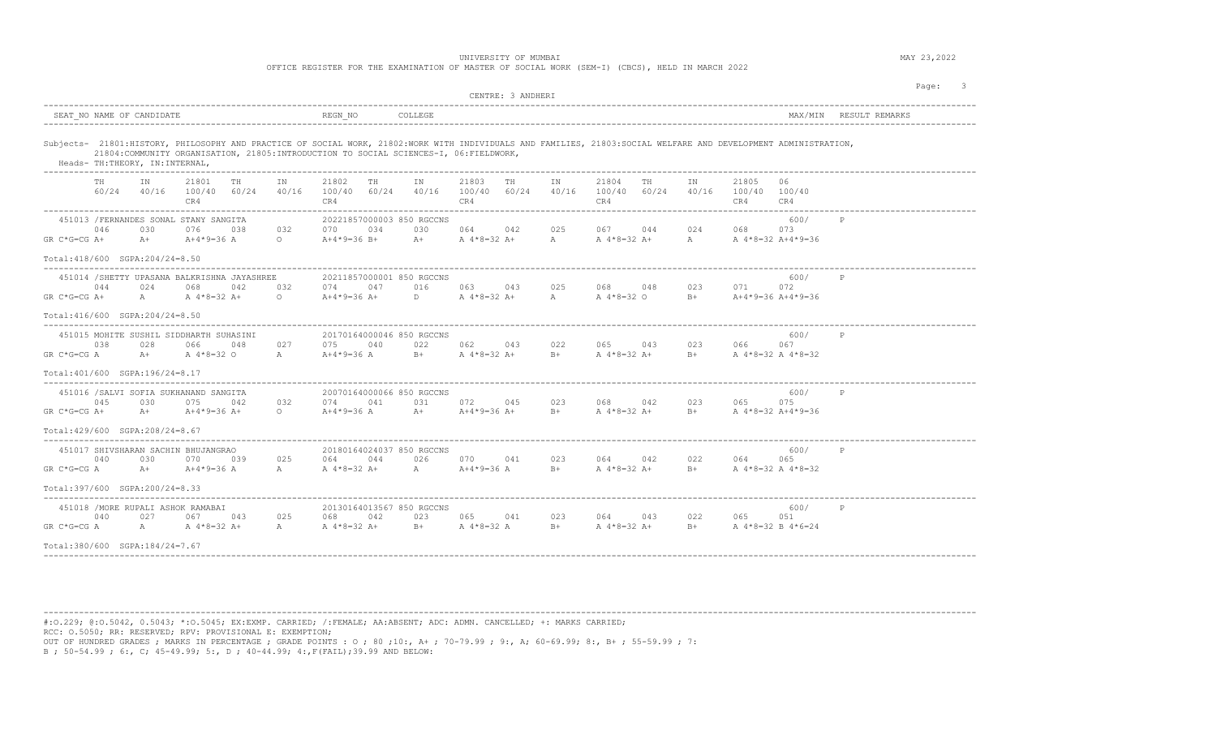| OFFICE REGISTER FOR THE EXAMINATION OF MASTER OF SOCIAL WORK (SEM-I) (CBCS), HELD IN MARCH 2022 |  |
|-------------------------------------------------------------------------------------------------|--|
|-------------------------------------------------------------------------------------------------|--|

| CENTRE: 3 ANDHERI                                                                                                                                                                                                                                                                            |                                                                                                                 |
|----------------------------------------------------------------------------------------------------------------------------------------------------------------------------------------------------------------------------------------------------------------------------------------------|-----------------------------------------------------------------------------------------------------------------|
| SEAT NO NAME OF CANDIDATE<br>REGN NO<br>COLLEGE                                                                                                                                                                                                                                              | MAX/MIN RESULT REMARKS                                                                                          |
| Subjects- 21801:HISTORY, PHILOSOPHY AND PRACTICE OF SOCIAL WORK, 21802:WORK WITH INDIVIDUALS AND FAMILIES, 21803:SOCIAL WELFARE AND DEVELOPMENT ADMINISTRATION,<br>21804: COMMUNITY ORGANISATION, 21805: INTRODUCTION TO SOCIAL SCIENCES-I, 06: FIELDWORK,<br>Heads- TH:THEORY, IN:INTERNAL, |                                                                                                                 |
| 21801<br>21802<br>21803<br>TH<br>TH<br>TN<br>TH<br>TH.<br>IN<br>IN<br>60/24 40/16 100/40 60/24<br>40/16<br>100/40 60/24<br>40/16 100/40 60/24<br>CR4<br>CR4<br>CR4                                                                                                                           | 21804<br>21805<br>IN<br>TН<br>TN<br>06.<br>40/16<br>100/40 60/24<br>40/16 100/40 100/40<br>CR4<br>CR4<br>CR4    |
| 451013 / FERNANDES SONAL STANY SANGITA<br>20221857000003 850 RGCCNS<br>046<br>030<br>076<br>038<br>034<br>030<br>064 042<br>032<br>070<br>A+ A 4 * 8 = 32 A+<br>$GR C*G=CG A+$<br>$A+$<br>A+4*9=36 A<br>$\circ$<br>A+4*9=36 B+                                                               | 600/<br>P<br>025<br>067 044<br>024<br>073<br>068<br>$\mathbb A$<br>A 4*8=32 A+<br>A A 4 * 8 = 32 A + 4 * 9 = 36 |
| Total: 418/600 SGPA: 204/24=8.50                                                                                                                                                                                                                                                             |                                                                                                                 |
| 451014 /SHETTY UPASANA BALKRISHNA JAYASHREE<br>20211857000001 850 RGCCNS<br>074 047<br>044<br>024<br>068<br>042<br>032<br>016<br>063 043<br>GR C*G=CG A+<br>A A 4 * 8 = 32 A +<br>$\Omega$<br>A+4*9=36 A+<br>D A 4 * 8 = 32 A +                                                              | 600/<br>P<br>068 048<br>023<br>025<br>071<br>072<br>A 4*8=32 O<br>B+ $A+4*9=36 A+4*9=36$<br>$\mathbb{A}$        |
| Total: 416/600 SGPA: 204/24=8.50                                                                                                                                                                                                                                                             |                                                                                                                 |
| 451015 MOHITE SUSHIL SIDDHARTH SUHASINI<br>20170164000046 850 RGCCNS<br>038<br>028<br>027<br>075<br>040<br>022<br>066<br>048<br>062 043<br>$B+$ A $4*8=32$ A+<br>GR C*G=CG A<br>$A+$<br>A 4*8=32 O<br>A<br>$A+4*9=36$ A<br>Total: 401/600 SGPA: 196/24=8.17                                  | 600/<br>P<br>022<br>065 043<br>023 066<br>067<br>A $4*8=32$ A+<br>$B+$<br>B+ A 4*8=32 A 4*8=32                  |
|                                                                                                                                                                                                                                                                                              |                                                                                                                 |
| 451016 / SALVI SOFIA SUKHANAND SANGITA<br>20070164000066 850 RGCCNS<br>075<br>032<br>074 041<br>045<br>030<br>042<br>031<br>072<br>045<br>$GR C*G=CG A+$<br>A+ $A+4*9=36 A+$<br>$\circ$<br>A+4*9=36 A<br>A+ $A+4*9=36 A+$                                                                    | 600/<br>P<br>068 042<br>023<br>075<br>023<br>065<br>$B+$<br>A 4*8=32 A+<br>$B+$ $A + 8 = 32A + 4*9 = 36$        |
| Total: 429/600 SGPA: 208/24=8.67                                                                                                                                                                                                                                                             |                                                                                                                 |
| 451017 SHIVSHARAN SACHIN BHUJANGRAO<br>20180164024037 850 RGCCNS<br>040<br>030<br>070<br>039<br>025<br>044<br>026<br>070 041<br>064<br>$GR C*G=CG A$<br>$A+$<br>A+4*9=36 A<br>A<br>A 4*8=32 A+<br>A $A+4*9=36$ A                                                                             | 600/<br>P<br>023<br>064 042<br>022<br>065<br>064<br>$B+$<br>A 4*8=32 A+<br>B+ A 4*8=32 A 4*8=32                 |
| Total:397/600 SGPA:200/24=8.33                                                                                                                                                                                                                                                               |                                                                                                                 |
| 451018 / MORE RUPALI ASHOK RAMABAI<br>20130164013567 850 RGCCNS<br>040<br>027<br>067<br>043<br>025<br>042<br>023<br>065<br>068<br>041<br>B+ A 4 * 8=32 A<br>GR C*G=CG A<br>A A 4 * 8 = 32 A +<br>A 4*8=32 A+<br>A                                                                            | 600/<br>P<br>023<br>064 06<br>043<br>022<br>065<br>051<br>$B+$<br>A 4*8=32 A+<br>$B+$<br>A 4*8=32 B 4*6=24      |
| Total:380/600 SGPA:184/24=7.67                                                                                                                                                                                                                                                               |                                                                                                                 |

----------------------------------------------------------------------------------------------------------------------------------------------------------------------------------------

#:O.229; @:O.5042, 0.5043; \*:O.5045; EX:EXMP. CARRIED; /:FEMALE; AA:ABSENT; ADC: ADMN. CANCELLED; +: MARKS CARRIED; RCC: O.5050; RR: RESERVED; RPV: PROVISIONAL E: EXEMPTION; OUT OF HUNDRED GRADES ; MARKS IN PERCENTAGE ; GRADE POINTS : O ; 80 ;10:, A+ ; 70-79.99 ; 9:, A; 60-69.99; 8:, B+ ; 55-59.99 ; 7: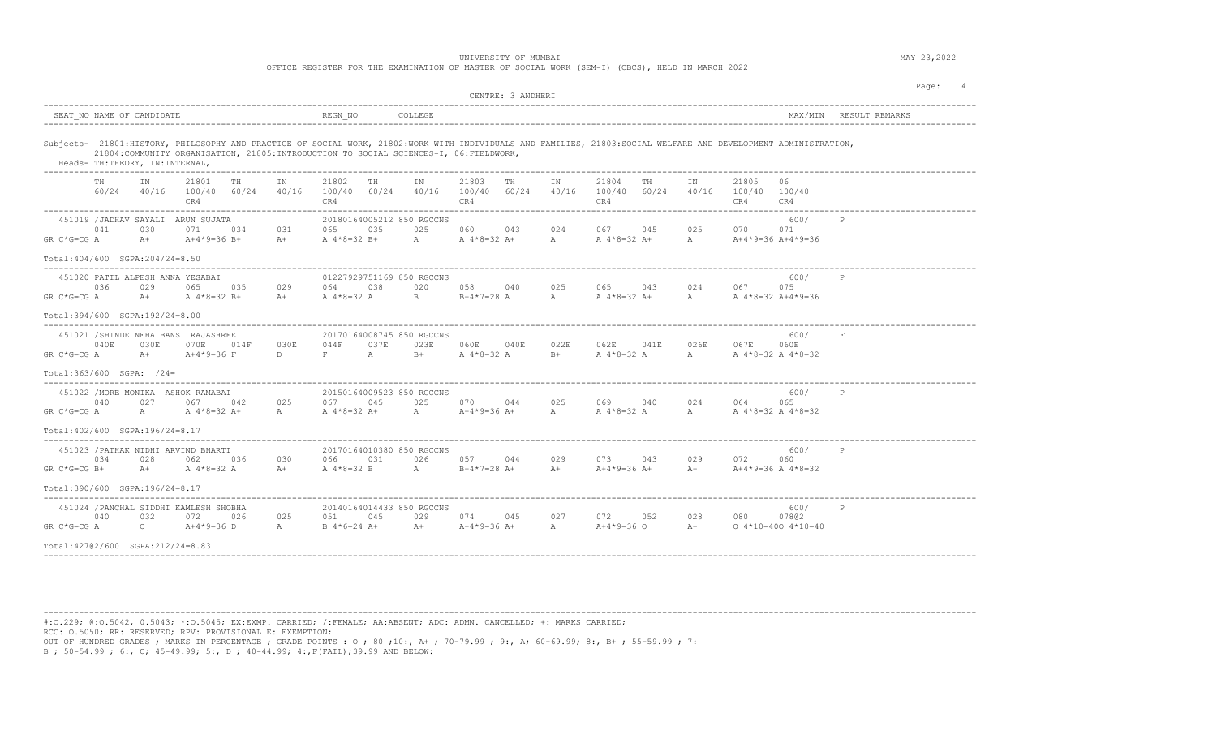| SEAT NO NAME OF CANDIDATE<br>REGN NO<br>Subjects- 21801:HISTORY, PHILOSOPHY AND PRACTICE OF SOCIAL WORK, 21802:WORK WITH INDIVIDUALS AND FAMILIES, 21803:SOCIAL WELFARE AND DEVELOPMENT ADMINISTRATION,<br>21804:COMMUNITY ORGANISATION, 21805:INTRODUCTION TO SOCIAL SCIENCES-I, 06:FIELDWORK,<br>Heads- TH:THEORY, IN:INTERNAL,<br>21801<br>21803<br>TH<br>21804<br>21805<br>TH<br>21802<br>TH<br>IN<br>IN<br>TH<br>IN<br>06<br>IN<br>IN<br>60/24 40/16 100/40 60/24<br>40/16<br>40/16 100/40 60/24<br>100/40 60/24<br>40/16<br>100/40 60/24<br>40/16 100/40 100/40<br>CR4<br>CR4<br>CR4<br>CR4<br>CR4<br>CR4<br>451019 / JADHAV SAYALI ARUN SUJATA<br>20180164005212 850 RGCCNS<br>600/<br>P<br>025<br>024<br>067 045<br>025<br>041<br>030<br>071<br>031<br>065<br>035<br>060 043<br>070<br>071<br>034<br>$GR C*G=CG A$<br>$A+$<br>$A+4*9=36 B+$<br>A 4 * 8=32 B + A A 4 * 8=32 A + A<br>A $4*8=32$ A+<br>A $A+4*9=36 A+4*9=36$<br>$A+$ |
|--------------------------------------------------------------------------------------------------------------------------------------------------------------------------------------------------------------------------------------------------------------------------------------------------------------------------------------------------------------------------------------------------------------------------------------------------------------------------------------------------------------------------------------------------------------------------------------------------------------------------------------------------------------------------------------------------------------------------------------------------------------------------------------------------------------------------------------------------------------------------------------------------------------------------------------------|
|                                                                                                                                                                                                                                                                                                                                                                                                                                                                                                                                                                                                                                                                                                                                                                                                                                                                                                                                            |
|                                                                                                                                                                                                                                                                                                                                                                                                                                                                                                                                                                                                                                                                                                                                                                                                                                                                                                                                            |
|                                                                                                                                                                                                                                                                                                                                                                                                                                                                                                                                                                                                                                                                                                                                                                                                                                                                                                                                            |
|                                                                                                                                                                                                                                                                                                                                                                                                                                                                                                                                                                                                                                                                                                                                                                                                                                                                                                                                            |
| Total: 404/600 SGPA: 204/24=8.50                                                                                                                                                                                                                                                                                                                                                                                                                                                                                                                                                                                                                                                                                                                                                                                                                                                                                                           |
| 01227929751169 850 RGCCNS<br>451020 PATIL ALPESH ANNA YESABAI<br>600/<br>P<br>065 035<br>029<br>038<br>020<br>065 043<br>024<br>067 0<br>036<br>029<br>064<br>058 040<br>025<br>075<br>GR C*G=CG A<br>A+ A 4 * 8=32 B+<br>A+ A 4*8=32 A B B+4*7=28 A A<br>A 4*8=32 A+ A A 4*8=32 A+4*9=36                                                                                                                                                                                                                                                                                                                                                                                                                                                                                                                                                                                                                                                  |
| Total: 394/600 SGPA: 192/24=8.00                                                                                                                                                                                                                                                                                                                                                                                                                                                                                                                                                                                                                                                                                                                                                                                                                                                                                                           |
| 451021 / SHINDE NEHA BANSI RAJASHREE<br>600/<br>20170164008745 850 RGCCNS<br>044F<br>062E 041E 026E 067E 060E<br>040E<br>030E<br>070E<br>030E<br>037E<br>023E<br>060E 040E 022E<br>014F<br>$A$ $\sim$<br>$GR C*G=CG A$<br>$A +$<br>$A+4*9=36$ F<br>D<br>$F =$<br>$B+$<br>$A \cdot 4 \cdot 8 = 32$ A<br>$B+$<br>$A = 4*8 = 32$ A<br>A A 4 * 8 = 32 A 4 * 8 = 32                                                                                                                                                                                                                                                                                                                                                                                                                                                                                                                                                                             |
| $Total:363/600$ SGPA: $/24=$                                                                                                                                                                                                                                                                                                                                                                                                                                                                                                                                                                                                                                                                                                                                                                                                                                                                                                               |
| 451022 / MORE MONIKA ASHOK RAMABAI<br>20150164009523 850 RGCCNS<br>600/<br>P<br>040<br>027<br>067 042<br>025<br>067 045<br>025 070 044<br>024<br>025<br>069 040<br>064<br>065<br>$GR C*G=CG A$<br>A A 4 * 8 = 32 A +<br>A 4*8=32 A+ A A+4*9=36 A+ A<br>A 4 * 8=32 A A A 4 * 8=32 A 4 * 8=32<br>A                                                                                                                                                                                                                                                                                                                                                                                                                                                                                                                                                                                                                                           |
| Total: 402/600 SGPA: 196/24=8.17                                                                                                                                                                                                                                                                                                                                                                                                                                                                                                                                                                                                                                                                                                                                                                                                                                                                                                           |
| 451023 / PATHAK NIDHI ARVIND BHARTI<br>20170164010380 850 RGCCNS<br>600/<br>P<br>034<br>028<br>030<br>031<br>026<br>057 044 029<br>073 043 029 072<br>062<br>036<br>066<br>060<br>$A +$<br>A $4*8=32$ A<br>A 4 * 8 = 32 B A B + 4 * 7 = 28 A +<br>$A+4*9=36$ $A+$<br>$A+4*9=36$ $A+4*8=32$<br>$GR C*G=CG B+$<br>$A +$<br>$A +$                                                                                                                                                                                                                                                                                                                                                                                                                                                                                                                                                                                                             |
| $Total:390/600$ $SGPA:196/24=8.17$                                                                                                                                                                                                                                                                                                                                                                                                                                                                                                                                                                                                                                                                                                                                                                                                                                                                                                         |
| 451024 / PANCHAL SIDDHI KAMLESH SHOBHA<br>20140164014433 850 RGCCNS<br>600/<br>P<br>051 045<br>040<br>032<br>072<br>026<br>025<br>029 074 045<br>027<br>072 052<br>028<br>080<br>07802<br>GR C*G=CG A<br>$0$ $A+4*9=36$ D<br>$A+$ $A+4*9=36$ $A+$<br>A+4*9=36 O A+ 0 4*10=400 4*10=40<br>A<br>B 4*6=24 A+<br>$\mathbb{A}$                                                                                                                                                                                                                                                                                                                                                                                                                                                                                                                                                                                                                  |
| Total: 42702/600 SGPA: 212/24=8.83                                                                                                                                                                                                                                                                                                                                                                                                                                                                                                                                                                                                                                                                                                                                                                                                                                                                                                         |

----------------------------------------------------------------------------------------------------------------------------------------------------------------------------------------

#:O.229; @:O.5042, 0.5043; \*:O.5045; EX:EXMP. CARRIED; /:FEMALE; AA:ABSENT; ADC: ADMN. CANCELLED; +: MARKS CARRIED; RCC: O.5050; RR: RESERVED; RPV: PROVISIONAL E: EXEMPTION; OUT OF HUNDRED GRADES ; MARKS IN PERCENTAGE ; GRADE POINTS : O ; 80 ;10:, A+ ; 70-79.99 ; 9:, A; 60-69.99; 8:, B+ ; 55-59.99 ; 7: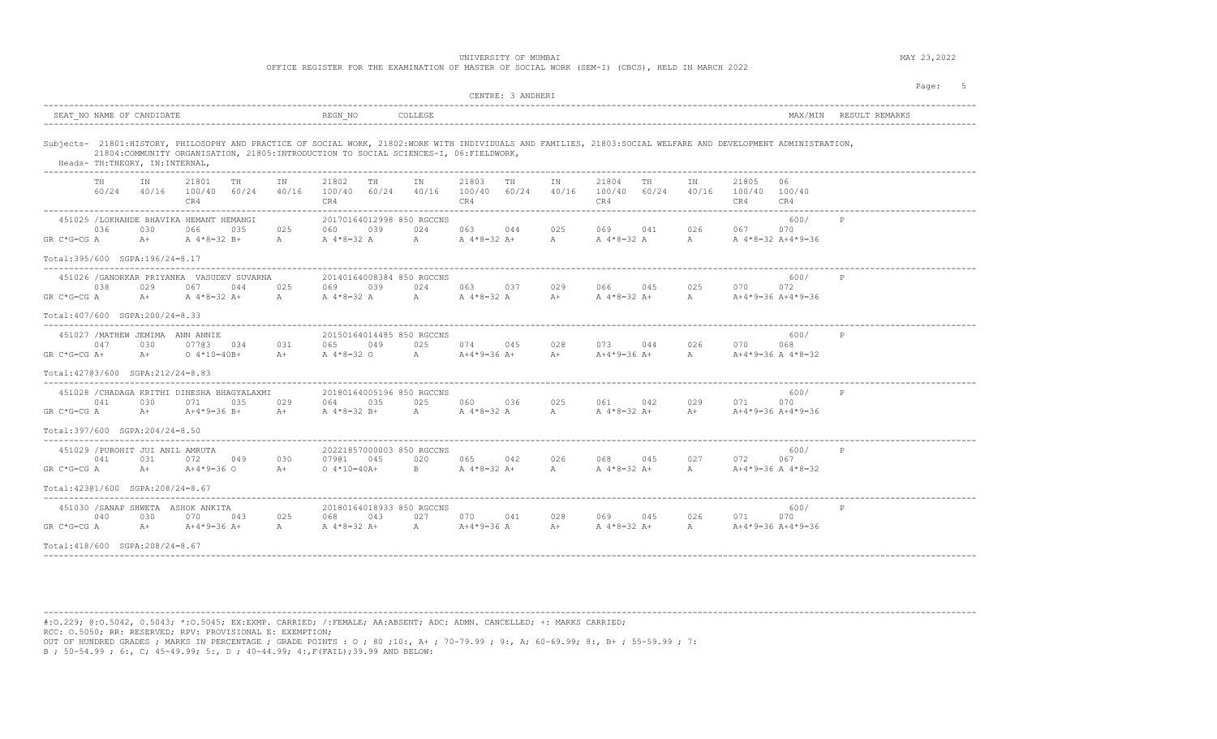| OFFICE REGISTER FOR THE EXAMINATION OF MASTER OF SOCIAL WORK (SEM-I) (CBCS), HELD IN MARCH 2022 |  |  |  |  |  |  |  |  |  |  |  |  |  |  |  |  |  |
|-------------------------------------------------------------------------------------------------|--|--|--|--|--|--|--|--|--|--|--|--|--|--|--|--|--|
|-------------------------------------------------------------------------------------------------|--|--|--|--|--|--|--|--|--|--|--|--|--|--|--|--|--|

| MAX/MIN RESULT REMARKS<br>Subjects- 21801:HISTORY, PHILOSOPHY AND PRACTICE OF SOCIAL WORK, 21802:WORK WITH INDIVIDUALS AND FAMILIES, 21803:SOCIAL WELFARE AND DEVELOPMENT ADMINISTRATION,<br>21804: COMMUNITY ORGANISATION, 21805: INTRODUCTION TO SOCIAL SCIENCES-I, 06: FIELDWORK,<br>Heads- TH:THEORY, IN:INTERNAL,<br>21803<br>IN<br>21801<br>21802<br>IN<br>TН<br>IN<br>21804<br>IN<br>21805<br>06<br>TH<br>TH<br>IN<br>TH<br>TH<br>40/16<br>60/24<br>40/16 100/40 60/24<br>100/40 60/24<br>40/16 100/40 60/24<br>40/16<br>100/40 60/24<br>40/16 100/40 100/40<br>CR4<br>CR4<br>CR4<br>CR4<br>CR4<br>CR4 |  |
|---------------------------------------------------------------------------------------------------------------------------------------------------------------------------------------------------------------------------------------------------------------------------------------------------------------------------------------------------------------------------------------------------------------------------------------------------------------------------------------------------------------------------------------------------------------------------------------------------------------|--|
|                                                                                                                                                                                                                                                                                                                                                                                                                                                                                                                                                                                                               |  |
|                                                                                                                                                                                                                                                                                                                                                                                                                                                                                                                                                                                                               |  |
|                                                                                                                                                                                                                                                                                                                                                                                                                                                                                                                                                                                                               |  |
| 451025 /LOKHANDE BHAVIKA HEMANT HEMANGI<br>20170164012998 850 RGCCNS<br>600/<br>025<br>026 067<br>036<br>030<br>066<br>035<br>025<br>060<br>039<br>024<br>063 044<br>069 041<br>070<br>GR C*G=CG A<br>$A+$<br>A 4*8=32 B+<br>A 4 * 8=32 A A A 4 * 8=32 A + A<br>A 4*8=32 A<br>A A 4 * 8=32 A + 4 * 9=36<br>A                                                                                                                                                                                                                                                                                                  |  |
| Total: 395/600 SGPA: 196/24=8.17                                                                                                                                                                                                                                                                                                                                                                                                                                                                                                                                                                              |  |
| 451026 / GANORKAR PRIYANKA VASUDEV SUVARNA<br>20140164008384 850 RGCCNS<br>600/<br>P<br>025<br>038<br>029<br>067<br>044<br>025<br>069<br>039<br>024 7<br>063 037<br>029<br>066 045<br>070<br>072<br>$GR C*G=CG A$<br>$A+$ $A+8=32$ $A+$<br>A<br>A 4 * 8=32 A A A 4 * 8=32 A<br>A 4*8=32 A+ A A+4*9=36 A+4*9=36<br>$A+$                                                                                                                                                                                                                                                                                        |  |
| Total: 407/600 SGPA: 200/24=8.33                                                                                                                                                                                                                                                                                                                                                                                                                                                                                                                                                                              |  |
| 451027 / MATHEW JEMIMA ANN ANNIE<br>600/<br>20150164014485 850 RGCCNS<br>P<br>047<br>031<br>049<br>025<br>074 045 028<br>073 044<br>026 070<br>030<br>07703 034<br>065 - 10<br>068<br>$GR C*G=CG A+$<br>$A +$<br>$0.4*10=40B+$<br>$A +$<br>A 4*8=32 O A A+4*9=36 A+ A+<br>$A+4*9=36$ $A+$ $A$ $A+4*9=36$ $A$ $4*8=32$                                                                                                                                                                                                                                                                                         |  |
| Total: 42703/600 SGPA: 212/24=8.83                                                                                                                                                                                                                                                                                                                                                                                                                                                                                                                                                                            |  |
| 451028 / CHADAGA KRITHI DINESHA BHAGYALAXMI<br>20180164005196 850 RGCCNS<br>600/<br>$_{\rm P}$<br>035<br>025<br>041<br>030<br>071<br>035<br>029<br>064<br>060 036<br>025<br>061 042<br>029<br>071<br>070<br>$GR C*G=CG A$<br>A+ $A+4*9=36 B+$<br>A 4*8=32 B+<br>A A 4 * 8 = 32 A<br>A 4*8=32 A+<br>$A+$ $A+4*9=36$ $A+4*9=36$<br>$A+$<br>$\mathbb{A}$                                                                                                                                                                                                                                                         |  |
| Total: 397/600 SGPA: 204/24=8.50                                                                                                                                                                                                                                                                                                                                                                                                                                                                                                                                                                              |  |
| 451029 / PUROHIT JUI ANIL AMRUTA<br>20221857000003 850 RGCCNS<br>600/<br>027<br>041<br>031<br>049<br>030<br>020<br>065 042<br>026<br>068 045<br>072<br>07901 045<br>072<br>067<br>$A+$<br>B A 4 * 8 = 32 A + A<br>A 4*8=32 A+ A A+4*9=36 A 4*8=32<br>GR C*G=CG A<br>A+4*9=36 O<br>$A+$<br>$0.4*10=40A+$                                                                                                                                                                                                                                                                                                       |  |
| Total: 42301/600 SGPA: 208/24=8.67                                                                                                                                                                                                                                                                                                                                                                                                                                                                                                                                                                            |  |
| 451030 / SANAP SHWETA ASHOK ANKITA<br>20180164018933 850 RGCCNS<br>600/<br>P<br>040<br>030<br>070<br>043<br>025<br>043<br>027<br>070<br>045<br>026<br>070<br>068<br>041<br>028<br>069<br>071<br>$GR C*G=CG A$<br>A $A+4*9=36$ A<br>$A +$<br>$A+4*9=36$ A+<br>A<br>A 4*8=32 A+<br>$A+$<br>A 4*8=32 A+<br>$A \qquad \qquad$<br>A+4*9=36 A+4*9=36                                                                                                                                                                                                                                                                |  |
| Total: 418/600 SGPA: 208/24=8.67                                                                                                                                                                                                                                                                                                                                                                                                                                                                                                                                                                              |  |

----------------------------------------------------------------------------------------------------------------------------------------------------------------------------------------

#:O.229; @:O.5042, 0.5043; \*:O.5045; EX:EXMP. CARRIED; /:FEMALE; AA:ABSENT; ADC: ADMN. CANCELLED; +: MARKS CARRIED; RCC: O.5050; RR: RESERVED; RPV: PROVISIONAL E: EXEMPTION; OUT OF HUNDRED GRADES ; MARKS IN PERCENTAGE ; GRADE POINTS : O ; 80 ;10:, A+ ; 70-79.99 ; 9:, A; 60-69.99; 8:, B+ ; 55-59.99 ; 7: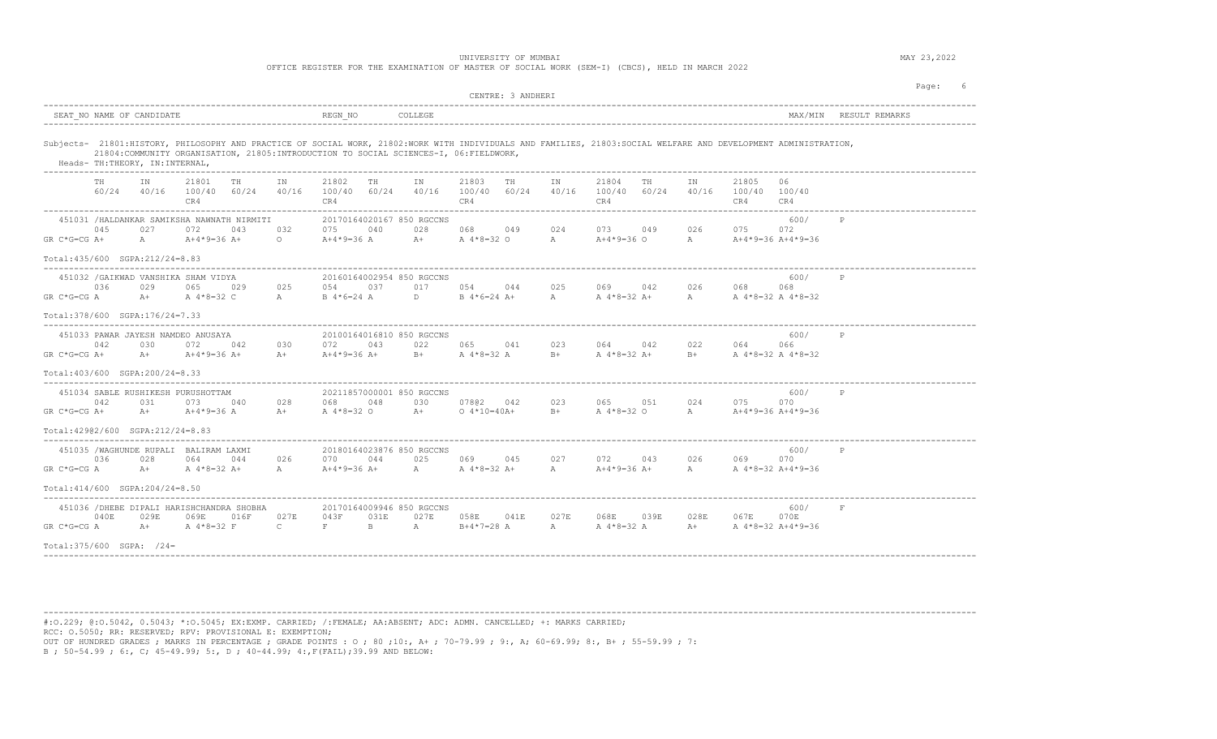|                                                 |                                  |                 |                                                                |                                                                                         |                      |                              |                                                   |                                                | UNIVERSITY OF MUMBAI               |                   |             | OFFICE REGISTER FOR THE EXAMINATION OF MASTER OF SOCIAL WORK (SEM-I) (CBCS), HELD IN MARCH 2022 |      |               |                                              |                                                                                                                                                                 |              | MAY 23,2022 |     |
|-------------------------------------------------|----------------------------------|-----------------|----------------------------------------------------------------|-----------------------------------------------------------------------------------------|----------------------|------------------------------|---------------------------------------------------|------------------------------------------------|------------------------------------|-------------------|-------------|-------------------------------------------------------------------------------------------------|------|---------------|----------------------------------------------|-----------------------------------------------------------------------------------------------------------------------------------------------------------------|--------------|-------------|-----|
|                                                 |                                  |                 |                                                                |                                                                                         |                      |                              |                                                   |                                                |                                    | CENTRE: 3 ANDHERI |             |                                                                                                 |      |               |                                              |                                                                                                                                                                 |              | Page:       | - 6 |
|                                                 | SEAT NO NAME OF CANDIDATE        |                 |                                                                |                                                                                         |                      | REGN NO                      |                                                   | COLLEGE.                                       |                                    |                   |             |                                                                                                 |      |               |                                              | MAX/MTN                                                                                                                                                         |              |             |     |
|                                                 | Heads- TH: THEORY, IN: INTERNAL, |                 |                                                                | 21804: COMMUNITY ORGANISATION, 21805: INTRODUCTION TO SOCIAL SCIENCES-I, 06: FIELDWORK, |                      |                              |                                                   |                                                |                                    |                   |             |                                                                                                 |      |               |                                              | Subjects- 21801:HISTORY, PHILOSOPHY AND PRACTICE OF SOCIAL WORK, 21802:WORK WITH INDIVIDUALS AND FAMILIES, 21803:SOCIAL WELFARE AND DEVELOPMENT ADMINISTRATION, |              |             |     |
|                                                 |                                  | IN              | 21801<br>CR4                                                   | TH<br>$60/24$ $40/16$ $100/40$ $60/24$ $40/16$                                          | IN                   | 21802<br>100/40 60/24<br>CR4 | TH                                                | IN                                             | 21803<br>40/16 100/40 60/24<br>CR4 | TH                | IN<br>40/16 | 21804<br>100/40 60/24<br>CR4                                                                    | TH.  | IN            | 21805<br>40/16 100/40 100/40<br>CR4          | 06<br>CR4                                                                                                                                                       |              |             |     |
| $GR C*G=CG A+$                                  | 045                              | 027<br>$A \sim$ | 072<br>A+4*9=36 A+                                             | 451031 /HALDANKAR SAMIKSHA NAWNATH NIRMITI<br>043                                       | 032                  | 075                          | 20170164020167 850 RGCCNS<br>040                  | 028                                            | 068 - 10                           | 049               | 024         | 073                                                                                             | 049  |               | 026 075                                      | 600/<br>072                                                                                                                                                     | P            |             |     |
| Total: 435/600 SGPA: 212/24=8.83                |                                  |                 |                                                                |                                                                                         |                      |                              |                                                   |                                                |                                    |                   |             |                                                                                                 |      |               |                                              |                                                                                                                                                                 |              |             |     |
| $GR C*G=CG A$                                   | 036                              | 029             | 451032 / GAIKWAD VANSHIKA SHAM VIDYA<br>065<br>A+ A 4 * 8=32 C | 029                                                                                     | 025<br>A             | 054                          | 037<br>B 4*6=24 A                                 | 20160164002954 850 RGCCNS<br>017<br>$D \sim 1$ | 054 044<br>$B \ 4*6=24 \ A+$       |                   | 025         | 069 042<br>A A 4 * 8 = 32 A +                                                                   |      |               | 026 068<br>A A 4 * 8 = 32 A 4 * 8 = 32       | 600/<br>068                                                                                                                                                     | $\mathsf{P}$ |             |     |
| $Total:378/600$ $SQPA:176/24=7.33$              |                                  |                 |                                                                |                                                                                         |                      |                              |                                                   |                                                |                                    |                   |             |                                                                                                 |      |               |                                              |                                                                                                                                                                 |              |             |     |
| $GR C*G=CG A+$                                  | 042                              | 030             | 451033 PAWAR JAYESH NAMDEO ANUSAYA<br>072                      | 042<br>A+ $A+4*9=36$ A+                                                                 | 030                  | 072                          | 043                                               | 20100164016810 850 RGCCNS                      | 022 065 041                        |                   | 023         | 064 042<br>$A+4*9=36$ $A+$ B+ $A+8=32$ $A$ B+ $A+8=32$ $A+$                                     |      |               | 022 064<br>$B+$ A 4 $*8=32$ A 4 $*8=32$      | 600/<br>066                                                                                                                                                     | P            |             |     |
| Total: 403/600 SGPA: 200/24=8.33                |                                  |                 |                                                                |                                                                                         |                      |                              |                                                   |                                                |                                    |                   |             |                                                                                                 |      |               |                                              |                                                                                                                                                                 |              |             |     |
| $GR C*G=CG A+$                                  | 042                              | 0.31            | 451034 SABLE RUSHIKESH PURUSHOTTAM<br>073<br>$A+$ $A+4*9=36$ A | 040                                                                                     | 028                  | 068                          | 048                                               | 20211857000001 850 RGCCNS<br>030               | 07802 042                          |                   | 023         | 065 051<br>A+ A 4*8=32 O A+ O 4*10=40A+ B+ A 4*8=32 O A A+4*9=36 A+4*9=36                       |      | 024           | 075                                          | 600/<br>070                                                                                                                                                     |              |             |     |
| Total: 42902/600 SGPA: 212/24=8.83              |                                  |                 |                                                                |                                                                                         |                      |                              |                                                   |                                                |                                    |                   |             |                                                                                                 |      |               |                                              |                                                                                                                                                                 |              |             |     |
| GR C*G=CG A<br>Total: 414/600 SGPA: 204/24=8.50 | 036                              | 028<br>$A+$     | 451035 /WAGHUNDE RUPALI BALIRAM LAXMI<br>064<br>A $4*8=32$ A+  | 044                                                                                     | 026<br>A             | 070                          | 20180164023876 850 RGCCNS<br>044<br>$A+4*9=36$ A+ |                                                | 025 069 045<br>A $A * 8 = 32 A +$  |                   | 027<br>A    | 072 043<br>$A+4*9=36$ A+                                                                        |      |               | 026 069 070<br>A A 4 * 8 = 32 A + 4 * 9 = 36 | 600/                                                                                                                                                            | $\mathbb P$  |             |     |
| $GR C*G=CG A$                                   | 040E                             | 029E            | 069E<br>$A+$ $A*8=32$ F                                        | 451036 / DHEBE DIPALI HARISHCHANDRA SHOBHA<br>016F                                      | 027E<br>$\mathbb{C}$ | 043F<br>$F =$                | 20170164009946 850 RGCCNS<br>031E<br>$B -$        | 027E<br>A                                      | 058E<br>$B+4*7=28$ A               | 041E              | 027E<br>A   | 068E<br>A $4*8=32$ A                                                                            | 039E | 028E<br>$A +$ | 067E<br>A 4*8=32 A+4*9=36                    | 600/<br>070E                                                                                                                                                    | F            |             |     |

----------------------------------------------------------------------------------------------------------------------------------------------------------------------------------------

Total:375/600 SGPA: /24= ----------------------------------------------------------------------------------------------------------------------------------------------------------------------------------------

#:O.229; @:O.5042, 0.5043; \*:O.5045; EX:EXMP. CARRIED; /:FEMALE; AA:ABSENT; ADC: ADMN. CANCELLED; +: MARKS CARRIED; RCC: O.5050; RR: RESERVED; RPV: PROVISIONAL E: EXEMPTION; OUT OF HUNDRED GRADES ; MARKS IN PERCENTAGE ; GRADE POINTS : O ; 80 ;10:, A+ ; 70-79.99 ; 9:, A; 60-69.99; 8:, B+ ; 55-59.99 ; 7: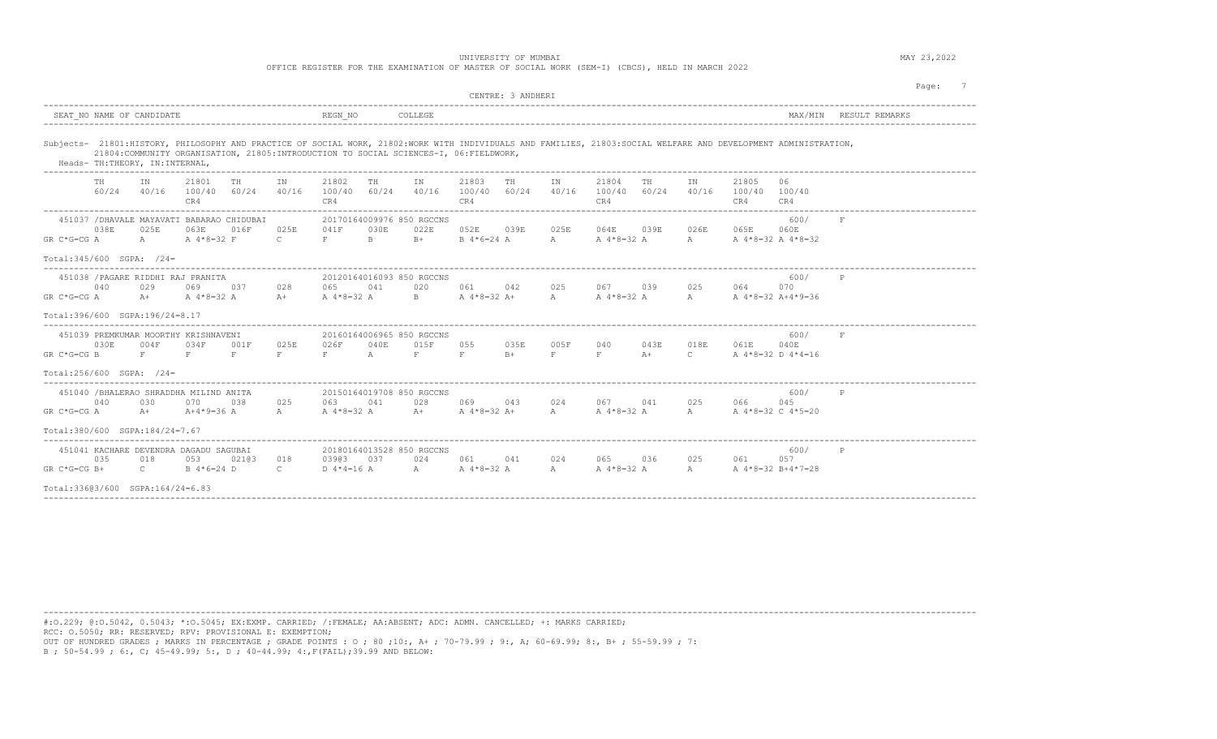OFFICE REGISTER FOR THE EXAMINATION OF MASTER OF SOCIAL WORK (SEM-I) (CBCS), HELD IN MARCH 2022

|                                                                                                                                                                   | CENTRE: 3 ANDHERI                                                                                                                                                            | Page:                                          |
|-------------------------------------------------------------------------------------------------------------------------------------------------------------------|------------------------------------------------------------------------------------------------------------------------------------------------------------------------------|------------------------------------------------|
| SEAT NO NAME OF CANDIDATE                                                                                                                                         | REGN NO<br>COLLEGE                                                                                                                                                           | RESULT REMARKS<br>MAX/MTN                      |
| 21804: COMMUNITY ORGANISATION, 21805: INTRODUCTION TO SOCIAL SCIENCES-I, 06: FIELDWORK,<br>Heads- TH: THEORY, IN: INTERNAL,                                       | Subjects- 21801:HISTORY, PHILOSOPHY AND PRACTICE OF SOCIAL WORK, 21802:WORK WITH INDIVIDUALS AND FAMILIES, 21803:SOCIAL WELFARE AND DEVELOPMENT ADMINISTRATION,              |                                                |
| 21801<br>IN<br>TH<br>IN<br>TH<br>60/24<br>40/16<br>100/40 60/24<br>40/16<br>CR4                                                                                   | 21802<br>21803<br>21804<br>TH<br>IN.<br>TH<br>TH<br>IN.<br>IN.<br>60/24<br>40/16<br>100/40 60/24<br>40/16<br>100/40<br>60/24<br>40/16<br>100/40<br>CR4<br>CR4<br>CR4         | 21805<br>06<br>100/40 100/40<br>CR4<br>CR4     |
| 451037 / DHAVALE MAYAVATI BABARAO CHIDUBAI<br>038E<br>025E<br>016F<br>025E<br>063E<br>A<br>A 4*8=32 F<br>$\mathbb{C}$<br>GR C*G=CG A<br>Total: 345/600 SGPA: /24= | 20170164009976 850 RGCCNS<br>041F<br>030E<br>052E<br>025E<br>064E<br>026E<br>022E<br>039E<br>039E<br>$B -$<br>F<br>$B +$<br>$B \ 4*6=24 A$<br>$\mathbb A$<br>A 4*8=32 A<br>A | 600/<br>065E<br>060E<br>A 4*8=32 A 4*8=32      |
| 451038 / PAGARE RIDDHI RAJ PRANITA<br>040<br>029<br>069<br>028<br>037<br>A 4*8=32 A<br>GR C*G=CG A<br>$A +$<br>$A+$<br>Total:396/600 SGPA:196/24=8.17             | 20120164016093 850 RGCCNS<br>025<br>067 039<br>025<br>065<br>041<br>020<br>061<br>042<br>A 4*8=32 A<br>$B \sim 1$<br>A $4*8=32$ A+<br>A<br>A 4*8=32 A<br>$A$ and $A$         | 600/<br>064<br>070<br>A 4*8=32 A+4*9=36        |
| 451039 PREMKUMAR MOORTHY KRISHNAVENI<br>030E<br>025E<br>004F<br>034F<br>001F<br>$GR C*G=CG B$<br>F<br>F<br>F.<br>F<br>Total:256/600 SGPA: /24=                    | 20160164006965 850 RGCCNS<br>055<br>035E<br>005F<br>026F<br>040E<br>015F<br>040<br>043E<br>018E<br>A<br>F<br>F<br>F<br>F<br>$\mathbb{C}$<br>F<br>$B+$<br>$A+$                | 600/<br>F<br>061E<br>040E<br>A 4*8=32 D 4*4=16 |
| 451040 /BHALERAO SHRADDHA MILIND ANITA<br>040<br>030<br>070<br>0.38<br>025<br>$A+4*9=36$ A<br>A<br>GR C*G=CG A<br>$A +$                                           | 20150164019708 850 RGCCNS<br>025<br>063 041<br>028<br>069<br>043<br>024<br>041<br>067<br>$A+$<br>A 4*8=32 A<br>A 4*8=32 A+<br>A<br>A 4*8=32 A<br>$A$ and $A$                 | 600/<br>P<br>066<br>045<br>A 4*8=32 C 4*5=20   |
| Total:380/600 SGPA:184/24=7.67<br>451041 KACHARE DEVENDRA DAGADU SAGUBAI<br>035<br>018<br>053<br>02103<br>018                                                     | 20180164013528 850 RGCCNS<br>03903<br>024<br>061<br>041<br>024<br>065<br>036<br>025<br>037                                                                                   | 600/<br>P<br>061<br>057                        |
| $GR C*G=CG B+$<br>$\mathbb{C}$<br>B 4*6=24 D<br>$\mathbb{C}$<br>Total:33603/600 SGPA:164/24=6.83                                                                  | D $4*4=16$ A<br>A A 4 * 8 = 32 A<br>A<br>A 4*8=32 A<br>$A \sim$                                                                                                              | A 4*8=32 B+4*7=28                              |

----------------------------------------------------------------------------------------------------------------------------------------------------------------------------------------

#:O.229; @:O.5042, 0.5043; \*:O.5045; EX:EXMP. CARRIED; /:FEMALE; AA:ABSENT; ADC: ADMN. CANCELLED; +: MARKS CARRIED; RCC: O.5050; RR: RESERVED; RPV: PROVISIONAL E: EXEMPTION;

OUT OF HUNDRED GRADES ; MARKS IN PERCENTAGE ; GRADE POINTS : O ; 80 ;10:, A+ ; 70-79.99 ; 9:, A; 60-69.99; 8:, B+ ; 55-59.99 ; 7: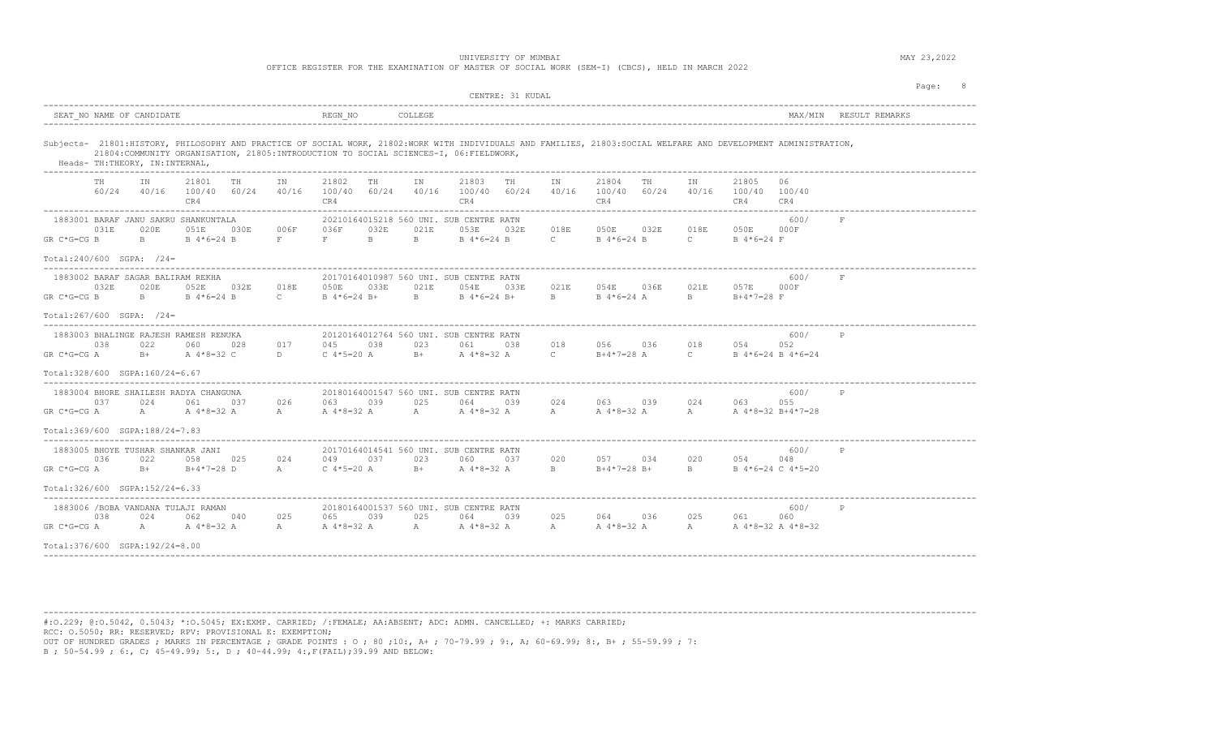OFFICE REGISTER FOR THE EXAMINATION OF MASTER OF SOCIAL WORK (SEM-I) (CBCS), HELD IN MARCH 2022

|                                                                                                                                                                                                                                                                                   | CENTRE: 31 KUDAL                                                                                                                                                                                                                                                                                                    | Page: 8                                                                              |
|-----------------------------------------------------------------------------------------------------------------------------------------------------------------------------------------------------------------------------------------------------------------------------------|---------------------------------------------------------------------------------------------------------------------------------------------------------------------------------------------------------------------------------------------------------------------------------------------------------------------|--------------------------------------------------------------------------------------|
| SEAT NO NAME OF CANDIDATE                                                                                                                                                                                                                                                         | REGN NO<br>COLLEGE                                                                                                                                                                                                                                                                                                  | MAX/MIN RESULT REMARKS                                                               |
| 21804:COMMUNITY ORGANISATION, 21805:INTRODUCTION TO SOCIAL SCIENCES-I, 06:FIELDWORK,<br>Heads- TH: THEORY, IN: INTERNAL,                                                                                                                                                          | Subjects- 21801:HISTORY, PHILOSOPHY AND PRACTICE OF SOCIAL WORK, 21802:WORK WITH INDIVIDUALS AND FAMILIES, 21803:SOCIAL WELFARE AND DEVELOPMENT ADMINISTRATION,                                                                                                                                                     |                                                                                      |
| 21801<br>TH<br>IN<br>TH<br>IN<br>CR4                                                                                                                                                                                                                                              | 21803 TH<br>21802<br>TH<br>IN<br>IN<br>21804<br>TH<br>$60/24$ $40/16$ $100/40$ $60/24$ $40/16$ $100/40$ $60/24$ $40/16$ $100/40$ $60/24$ $40/16$<br>100/40 60/24<br>CR4<br>CR4<br>CR4                                                                                                                               | IN<br>21805<br>- 06<br>40/16 100/40 100/40<br>CR4<br>CR4                             |
| 1883001 BARAF JANU SAKRU SHANKUNTALA<br>030E 006F<br>031E<br>020E<br>051E<br>$B \ 4*6=24 B$<br>$\mathbf{F}$ and $\mathbf{F}$ are the set of $\mathbf{F}$ and $\mathbf{F}$ are the set of $\mathbf{F}$<br>GR C*G=CG B<br>$\mathbf{B}$ and $\mathbf{B}$<br>Total:240/600 SGPA: /24= | 20210164015218 560 UNI. SUB CENTRE RATN<br>018E<br>050E 032E<br>036F<br>032E<br>021E<br>053E<br>032E<br>$B = 1$<br>$B = 1$<br>B 4 * 6=24 B C B 4 * 6=24 B                                                                                                                                                           | 600/<br>018E<br>050E 000F<br>$\mathbb{C}$ and $\mathbb{C}$<br>B 4*6=24 F             |
| 1883002 BARAF SAGAR BALIRAM REKHA<br>032E 018E 050E<br>032E<br>020E<br>052E<br>GR C*G=CG B<br>$\mathbf{B}$ and $\mathbf{B}$<br>Total:267/600 SGPA: /24=                                                                                                                           | 20170164010987 560 UNI. SUB CENTRE RATN<br>021E<br>033E<br>021E<br>054E<br>033E<br>054E 036E<br>B 4 * 6=24 B C B 4 * 6=24 B + B<br>B 4 * 6=24 B + B B 4 * 6=24 A                                                                                                                                                    | 600/<br>F<br>021E<br>057E 000F<br>$B = 1$<br>B+4*7=28 F                              |
| 1883003 BHALINGE RAJESH RAMESH RENUKA<br>038<br>017<br>022<br>060<br>028<br>B+ A 4 * 8=32 C<br>GR C*G=CG A<br>D<br>Total: 328/600 SGPA: 160/24=6.67                                                                                                                               | 20120164012764 560 UNI. SUB CENTRE RATN<br>038<br>023<br>038<br>018<br>056 036<br>045<br>061<br>$C \, 4*5=20$ A B+ A $4*8=32$ A C<br>$B+4*7=28$ A                                                                                                                                                                   | 600/<br>P<br>018<br>054<br>052<br>$\mathbb{C}$ and $\mathbb{C}$<br>B 4*6=24 B 4*6=24 |
| 1883004 BHORE SHAILESH RADYA CHANGUNA<br>026<br>0.37<br>024<br>061<br>037<br>$GR C*G=CG A$ A<br>$Total:369/600$ $SGPA:188/24=7.83$                                                                                                                                                | 20180164001547 560 UNI. SUB CENTRE RATN<br>039<br>025<br>024<br>063<br>064<br>039<br>$A^4*8=32$ $A$ $A^4*8=32$ $A$ $A^*8=32$ $A$ $A^*8=32$ $A$ $A^*8=32$ $A$ $A^*8=32$ $A$ $A^*8=32$ $A^*8=32$ $A^*8=32$ $A^*8=32$ $A^*8=32$ $A^*8=32$ $A^*8=32$ $A^*8=32$ $A^*8=32$ $A^*8=32$ $A^*8=32$ $A^*8=32$ $A^*8=32$ $A^*8$ | 600/<br>P<br>063 039 024 063<br>055                                                  |
| 1883005 BHOYE TUSHAR SHANKAR JANI<br>036<br>058<br>024<br>022<br>025<br>GR C*G=CG A<br>Total: 326/600 SGPA: 152/24=6.33                                                                                                                                                           | 20170164014541 560 UNI, SUB CENTRE RATN<br>049 037<br>023<br>020<br>034<br>060<br>037<br>B+ B+4*7=28 D A C 4*5=20 A B+ A 4*8=32 A B<br>$B+4*7=28$ B+                                                                                                                                                                | 600/<br>P<br>020<br>054 6<br>048<br>B B 4 * 6=24 C 4 * 5=20                          |
| 1883006 /BOBA VANDANA TULAJI RAMAN<br>0.38<br>024<br>062<br>040 025<br>A A 4 * 8 = 32 A A<br>GR C*G=CG A<br>Total: 376/600 SGPA: 192/24=8.00                                                                                                                                      | 20180164001537 560 UNI. SUB CENTRE RATN<br>025<br>025<br>039<br>039<br>065<br>064<br>A $4*8=32$ A $A$ A $4*8=32$ A $A$ A $4*8=32$ A $A$ A $4*8=32$ A $A*8=32$ A $4*8=32$                                                                                                                                            | 600/<br>064 036 025 061 060                                                          |

----------------------------------------------------------------------------------------------------------------------------------------------------------------------------------------

#:O.229; @:O.5042, 0.5043; \*:O.5045; EX:EXMP. CARRIED; /:FEMALE; AA:ABSENT; ADC: ADMN. CANCELLED; +: MARKS CARRIED; RCC: O.5050; RR: RESERVED; RPV: PROVISIONAL E: EXEMPTION; OUT OF HUNDRED GRADES ; MARKS IN PERCENTAGE ; GRADE POINTS : O ; 80 ;10:, A+ ; 70-79.99 ; 9:, A; 60-69.99; 8:, B+ ; 55-59.99 ; 7: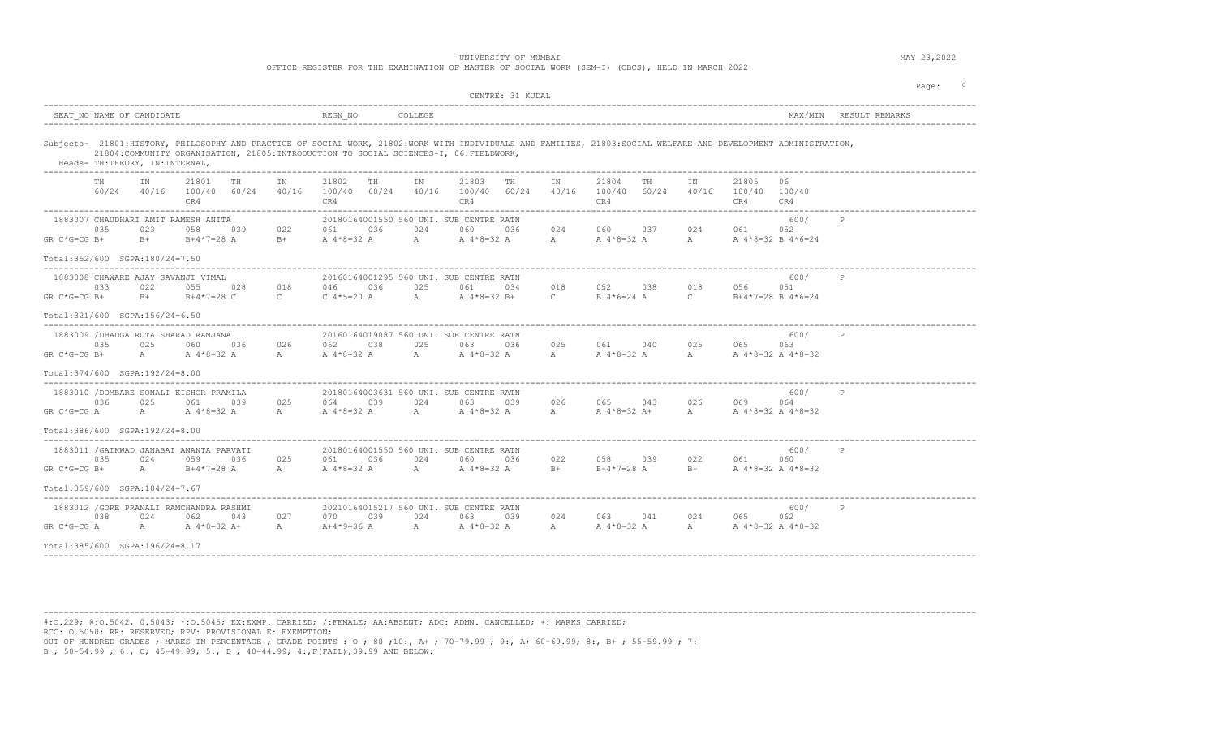|  |  |  |  |  | OFFICE REGISTER FOR THE EXAMINATION OF MASTER OF SOCIAL WORK (SEM-I) (CBCS), HELD IN MARCH 2022 |  |  |  |  |  |  |  |  |  |  |
|--|--|--|--|--|-------------------------------------------------------------------------------------------------|--|--|--|--|--|--|--|--|--|--|
|--|--|--|--|--|-------------------------------------------------------------------------------------------------|--|--|--|--|--|--|--|--|--|--|

|                                                                                                                                                                   | CENTRE: 31 KUDAL                                                                                             |                                                                                                                                                                   | Page: 9                |
|-------------------------------------------------------------------------------------------------------------------------------------------------------------------|--------------------------------------------------------------------------------------------------------------|-------------------------------------------------------------------------------------------------------------------------------------------------------------------|------------------------|
| SEAT NO NAME OF CANDIDATE                                                                                                                                         | REGN NO<br>COLLEGE                                                                                           |                                                                                                                                                                   | MAX/MIN RESULT REMARKS |
| 21804: COMMUNITY ORGANISATION, 21805: INTRODUCTION TO SOCIAL SCIENCES-I, 06: FIELDWORK,<br>Heads- TH:THEORY, IN:INTERNAL,<br>____________________________________ |                                                                                                              | Subjects- 21801:HISTORY, PHILOSOPHY AND PRACTICE OF SOCIAL WORK, 21802:WORK WITH INDIVIDUALS AND FAMILIES, 21803:SOCIAL WELFARE AND DEVELOPMENT ADMINISTRATION,   |                        |
| 21801<br>IN<br>TH<br>IN<br>60/24 40/16 100/40 60/24 40/16<br>CR4                                                                                                  | 21803<br>21802<br>TH<br>IN<br>TH<br>100/40 60/24<br>40/16 100/40 60/24<br>CR4<br>CR4                         | 21804<br>TN<br>21805<br>IN<br>TH<br>40/16<br>100/40 60/24<br>40/16 100/40 100/40<br>CR4<br>CR4                                                                    | 06<br>CR4              |
| 1883007 CHAUDHARI AMIT RAMESH ANITA<br>035<br>023<br>058<br>039<br>022<br>$GR C*G=CG B+$<br>$B +$<br>$B+4*7=28$ A<br>$B+$                                         | 20180164001550 560 UNI. SUB CENTRE RATN<br>024<br>036<br>060<br>061                                          | 024 060 037<br>024 061<br>036<br>A 4 * 8 = 32 A A A + 8 = 32 A A A A + 8 = 32 A A 4 * 8 = 32 B 4 * 6 = 24                                                         | 600/<br>P<br>052       |
| Total: 352/600 SGPA: 180/24=7.50                                                                                                                                  |                                                                                                              |                                                                                                                                                                   |                        |
| 1883008 CHAWARE AJAY SAVANJI VIMAL<br>018<br>033<br>022<br>055 028<br>$GR C*G=CG B+$<br>B+ B+4*7=28 C                                                             | 20160164001295 560 UNI, SUB CENTRE RATN<br>025<br>046<br>036<br>061<br>034<br>C C $4*5=20$ A A A $4*8=32$ B+ | 052 038<br>018<br>018<br>056<br>C B $4*6=24$ A C B $4*7=28$ B $4*6=24$                                                                                            | 600/<br>P<br>051       |
| Total: 321/600 SGPA: 156/24=6.50                                                                                                                                  |                                                                                                              |                                                                                                                                                                   |                        |
| 1883009 / DHADGA RUTA SHARAD RANJANA<br>035<br>025<br>026<br>060<br>036<br>$GR C*G=CG B+$<br>A<br>A $4*8=32$ A<br>A                                               | 20160164019087 560 UNI. SUB CENTRE RATN<br>038<br>025<br>062<br>063<br>A 4 * 8=32 A A A 4 * 8=32 A           | 025<br>061 040<br>025<br>065<br>036<br>A 4 * 8 = 32 A A A 4 * 8 = 32 A 4 * 8 = 32<br>$\mathbb{A}$                                                                 | 600/<br>P<br>063       |
| Total: 374/600 SGPA: 192/24=8.00                                                                                                                                  |                                                                                                              |                                                                                                                                                                   |                        |
| 1883010 /DOMBARE SONALI KISHOR PRAMILA<br>036<br>025<br>025<br>061<br>039                                                                                         | 20180164003631 560 UNI. SUB CENTRE RATN<br>064 039<br>024 063<br>039                                         | 026<br>065 043 026<br>069 —<br>GR C*G=CG A $A$ A $4*8=32$ A $A$ A $A*8=32$ A $A$ A $4*8=32$ A $A$ $A*8=32$ A $A*8=32$ A $A*8=32$ A $A*8=32$ A $A*8=32$ A $A*8=32$ | 600/<br>P<br>064       |
| Total: 386/600 SGPA: 192/24=8.00                                                                                                                                  |                                                                                                              |                                                                                                                                                                   |                        |
| 1883011 / GAIKWAD JANABAI ANANTA PARVATI<br>035<br>024<br>059<br>036<br>025<br>$GR C*G=CG B+$<br>A<br>$B+4*7=28$ A<br>A                                           | 20180164001550 560 UNI, SUB CENTRE RATN<br>061<br>036<br>024 060<br>036<br>A 4 * 8=32 A A A 4 * 8=32 A       | 022<br>058 039<br>022 02<br>061 — 10<br>$B+4*7=28$ A<br>$B+$<br>B+ $A \, 4 \times 8 = 32 \, A \, 4 \times 8 = 32$                                                 | 600/<br>P<br>060       |
| $Total:359/600$ SGPA: $184/24=7.67$                                                                                                                               |                                                                                                              |                                                                                                                                                                   |                        |
| 1883012 / GORE PRANALI RAMCHANDRA RASHMI<br>038<br>024<br>043<br>027<br>062<br>GR C*G=CG A<br>A A 4 * 8 = 32 A +<br>$\overline{A}$                                | 20210164015217 560 UNI. SUB CENTRE RATN<br>070 039<br>024 063 039<br>A+4*9=36 A A A4*8=32 A A                | 024 063 041<br>024 065<br>A 4 * 8=32 A A A 4 * 8=32 A 4 * 8=32                                                                                                    | 600/<br>P<br>062       |
| Total: 385/600 SGPA: 196/24=8.17                                                                                                                                  |                                                                                                              |                                                                                                                                                                   |                        |

----------------------------------------------------------------------------------------------------------------------------------------------------------------------------------------

#:O.229; @:O.5042, 0.5043; \*:O.5045; EX:EXMP. CARRIED; /:FEMALE; AA:ABSENT; ADC: ADMN. CANCELLED; +: MARKS CARRIED; RCC: O.5050; RR: RESERVED; RPV: PROVISIONAL E: EXEMPTION; OUT OF HUNDRED GRADES ; MARKS IN PERCENTAGE ; GRADE POINTS : O ; 80 ;10:, A+ ; 70-79.99 ; 9:, A; 60-69.99; 8:, B+ ; 55-59.99 ; 7: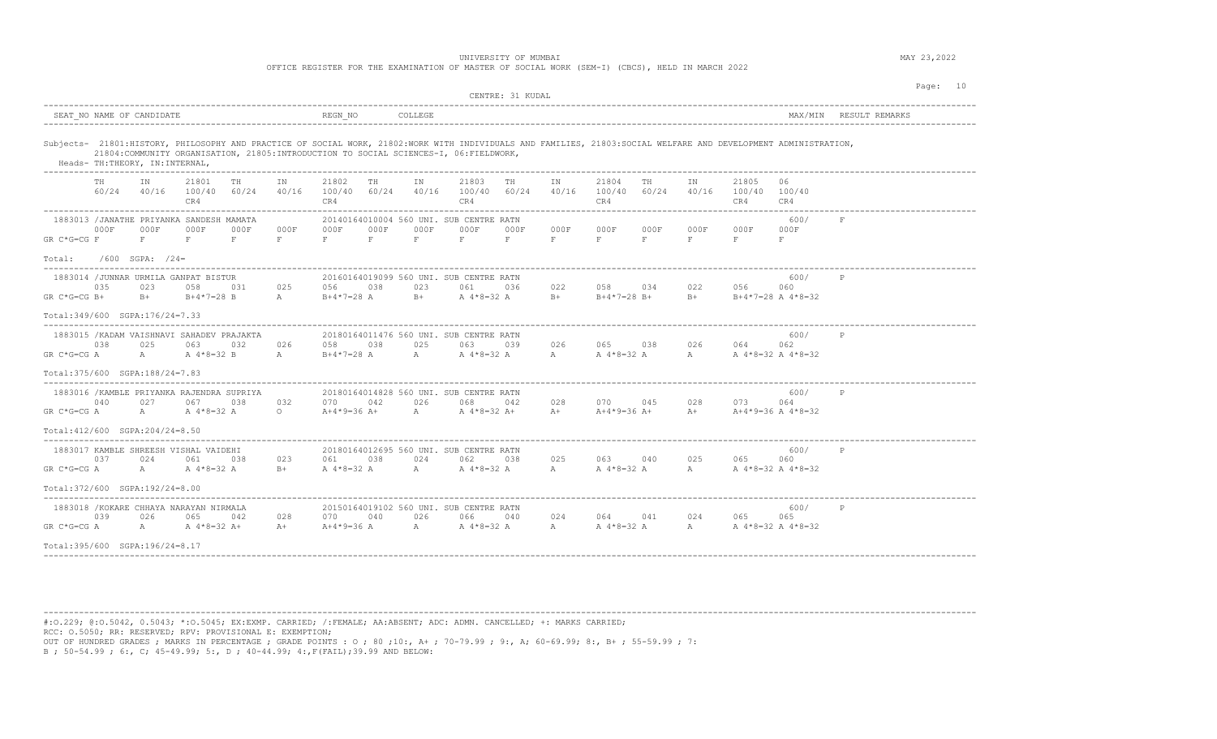OFFICE REGISTER FOR THE EXAMINATION OF MASTER OF SOCIAL WORK (SEM-I) (CBCS), HELD IN MARCH 2022

|                                      |              |                                  |                                                                      |               |                     |                                                                     |              |                     |                                                                                         | CENTRE: 31 KUDAL |                 |                              |                 |            |                                                    |                                                                                                                                                                 |                        | Page: 10 |
|--------------------------------------|--------------|----------------------------------|----------------------------------------------------------------------|---------------|---------------------|---------------------------------------------------------------------|--------------|---------------------|-----------------------------------------------------------------------------------------|------------------|-----------------|------------------------------|-----------------|------------|----------------------------------------------------|-----------------------------------------------------------------------------------------------------------------------------------------------------------------|------------------------|----------|
|                                      |              | SEAT NO NAME OF CANDIDATE        |                                                                      |               |                     | REGN NO                                                             |              | COLLEGE             |                                                                                         |                  |                 |                              |                 |            |                                                    |                                                                                                                                                                 | MAX/MIN RESULT REMARKS |          |
|                                      |              | Heads- TH: THEORY, IN: INTERNAL, | -----------------------------------                                  |               |                     |                                                                     |              |                     | 21804: COMMUNITY ORGANISATION, 21805: INTRODUCTION TO SOCIAL SCIENCES-I, 06: FIELDWORK, |                  |                 |                              |                 |            |                                                    | Subjects- 21801:HISTORY, PHILOSOPHY AND PRACTICE OF SOCIAL WORK, 21802:WORK WITH INDIVIDUALS AND FAMILIES, 21803:SOCIAL WELFARE AND DEVELOPMENT ADMINISTRATION, |                        |          |
|                                      | TH.<br>60/24 | TN                               | 21801<br>40/16 100/40<br>CR4                                         | TH<br>60/24   | IN<br>40/16         | 21802<br>100/40 60/24<br>CR4<br>. _ _ _ _ _ _ _ _ _ _ _ _ _ _ _ _ _ | TH           | TN                  | 21803<br>40/16 100/40 60/24<br>CR4<br>-------------------                               | TH               | IN<br>40/16     | 21804<br>100/40 60/24<br>CR4 | TH              | TN         | 21805<br>40/16 100/40 100/40<br>CR4                | 06.<br>CR4                                                                                                                                                      |                        |          |
| $GR C*G=CG F$                        | 000F         | 000F<br>F                        | 1883013 / JANATHE PRIYANKA SANDESH MAMATA<br>000F<br>F               | 000F<br>$F =$ | 000F<br>$F$ and $F$ | 000F<br>$F = 1$                                                     | 000F<br>F. O | 000F<br>$F$ and $F$ | 20140164010004 560 UNI. SUB CENTRE RATN<br>000F<br>$F = 1$                              | 000F             | 000F<br>$F = F$ | 000F<br>$F = 1$              | 000F<br>$F = 1$ | 000F<br>F. | 000F<br>$F =$                                      | 600/<br>000F<br>F                                                                                                                                               | $_{\rm F}$             |          |
| Total:<br>__________________________ |              | $/600$ SGPA: $/24=$              |                                                                      |               |                     | ----------------------------------                                  |              |                     |                                                                                         |                  |                 |                              |                 |            |                                                    |                                                                                                                                                                 |                        |          |
| GR C*G=CG B+                         | 035          | 023                              | 1883014 / JUNNAR URMILA GANPAT BISTUR<br>058<br>B+ B+4*7=28 B        | 031           | 025<br>A            | 056 038<br>B+4*7=28 A                                               |              | 023                 | 20160164019099 560 UNI. SUB CENTRE RATN<br>061<br>$B+$ A $4*8=32$ A                     | 036              | 022<br>$B+$     | 058 034                      |                 | 022        | 056<br>$B+4*7=28$ B+ $B+$ B+ $B+4*7=28$ A $4*8=32$ | 600/<br>060                                                                                                                                                     | P                      |          |
| Total: 349/600 SGPA: 176/24=7.33     |              |                                  |                                                                      |               |                     |                                                                     |              |                     |                                                                                         |                  |                 |                              |                 |            |                                                    |                                                                                                                                                                 |                        |          |
| $GR C*G=CG A$                        | 038          | 025<br>A                         | 1883015 / KADAM VAISHNAVI SAHADEV PRAJAKTA<br>063<br>A 4*8=32 B      | 032           | 026<br>$\mathbb A$  | 058<br>$B+4*7=28$ A                                                 | 038          | 025<br>A            | 20180164011476 560 UNI, SUB CENTRE RATN<br>063<br>A $4*8=32$ A                          | 039              | 026<br>A        | 065 038 026 064              |                 |            | A 4*8=32 A A A 4*8=32 A 4*8=32                     | 600/<br>062                                                                                                                                                     | P                      |          |
| Total: 375/600 SGPA: 188/24=7.83     |              |                                  |                                                                      |               |                     |                                                                     |              |                     |                                                                                         |                  |                 |                              |                 |            |                                                    |                                                                                                                                                                 |                        |          |
| $GR C*G=CG A$                        | 040          | 027<br>$A \sim$                  | 1883016 / KAMBLE PRIYANKA RAJENDRA SUPRIYA<br>067<br>A 4*8=32 A      | 038           | 0.32<br>$\circ$     | 070<br>$A+4*9=36$ A+                                                | 042          | 026                 | 20180164014828 560 UNI. SUB CENTRE RATN<br>068<br>A A 4 * 8 = 32 A +                    | 042              | 028<br>$A+$     | 070<br>$A+4*9=36$ A+         | 045             | 028        | 073<br>$A+$ $A+4*9=36$ $A+4*8=32$                  | 600/<br>064                                                                                                                                                     | P                      |          |
| Total: 412/600 SGPA: 204/24=8.50     |              |                                  |                                                                      |               |                     |                                                                     |              |                     |                                                                                         |                  |                 |                              |                 |            |                                                    |                                                                                                                                                                 |                        |          |
| $GR C*G=CG A$                        | 037          | 024<br>A                         | 1883017 KAMBLE SHREESH VISHAL VAIDEHI<br>061<br>A 4*8=32 A           | 038           | 023<br>$B +$        | 061                                                                 | 038          | 024                 | 20180164012695 560 UNI, SUB CENTRE RATN<br>062<br>A 4 * 8=32 A A A 4 * 8=32 A           | 038              | 025<br>A        | 063 040 025 065              |                 |            | A 4 * 8=32 A A A 4 * 8=32 A 4 * 8=32               | 600/<br>060                                                                                                                                                     | $\mathbb P$            |          |
| Total: 372/600 SGPA: 192/24=8.00     |              |                                  |                                                                      |               |                     |                                                                     |              |                     |                                                                                         |                  |                 |                              |                 |            |                                                    |                                                                                                                                                                 |                        |          |
| $GR C*G=CG A$                        | 039          | 026                              | 1883018 / KOKARE CHHAYA NARAYAN NIRMALA<br>065<br>A A 4 * 8 = 32 A + | 042           | 028<br>$A+$         | 070                                                                 | 040          | 026                 | 20150164019102 560 UNI. SUB CENTRE RATN<br>066<br>$A+4*9=36$ A $A$ A $4*8=32$ A         | 040              | 024<br>A        | 064 041                      |                 | 024        | 065<br>A 4 * 8=32 A A A 4 * 8=32 A 4 * 8=32        | 600/<br>065                                                                                                                                                     | P                      |          |
| Total:395/600 SGPA:196/24=8.17       |              |                                  |                                                                      |               |                     |                                                                     |              |                     |                                                                                         |                  |                 |                              |                 |            |                                                    |                                                                                                                                                                 |                        |          |
|                                      |              |                                  |                                                                      |               |                     |                                                                     |              |                     |                                                                                         |                  |                 |                              |                 |            |                                                    |                                                                                                                                                                 |                        |          |

----------------------------------------------------------------------------------------------------------------------------------------------------------------------------------------

#:O.229; @:O.5042, 0.5043; \*:O.5045; EX:EXMP. CARRIED; /:FEMALE; AA:ABSENT; ADC: ADMN. CANCELLED; +: MARKS CARRIED; RCC: O.5050; RR: RESERVED; RPV: PROVISIONAL E: EXEMPTION; OUT OF HUNDRED GRADES ; MARKS IN PERCENTAGE ; GRADE POINTS : O ; 80 ;10:, A+ ; 70-79.99 ; 9:, A; 60-69.99; 8:, B+ ; 55-59.99 ; 7: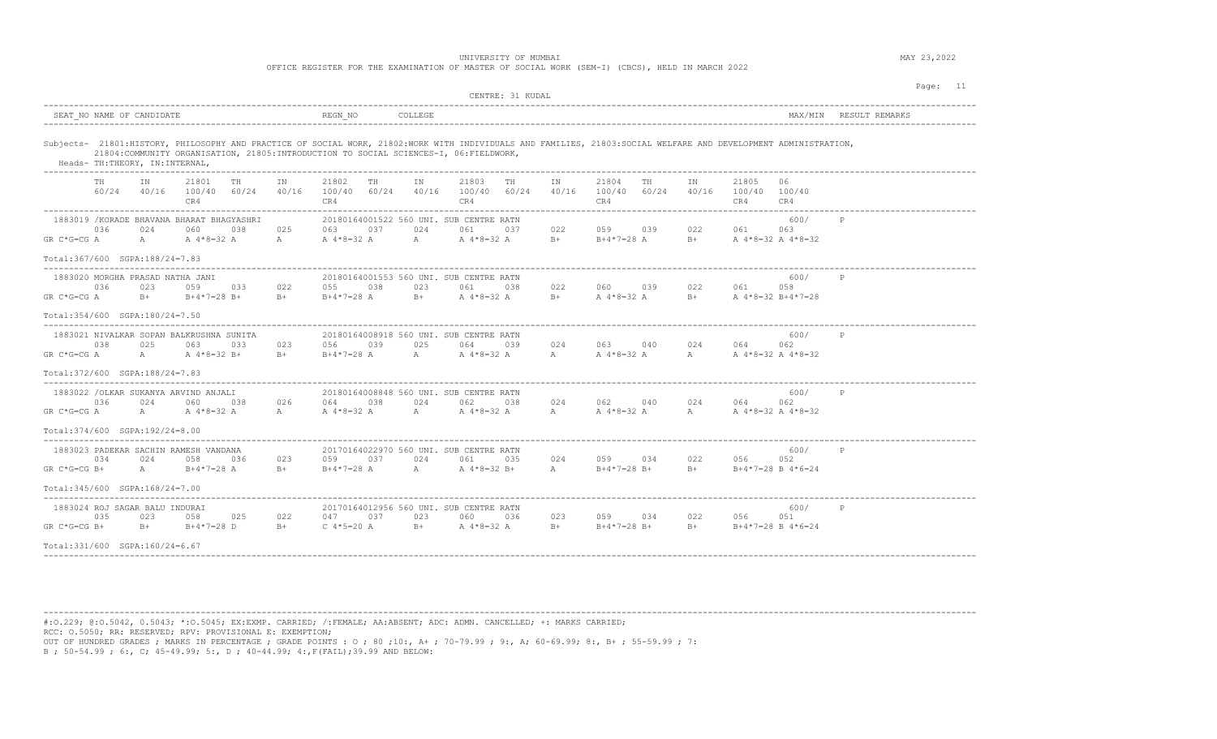|                                                                                                                                                                                                                                                                                                                                       |                                                                                            | CENTRE: 31 KUDAL                                                                              | Page: 11                                                                                   |
|---------------------------------------------------------------------------------------------------------------------------------------------------------------------------------------------------------------------------------------------------------------------------------------------------------------------------------------|--------------------------------------------------------------------------------------------|-----------------------------------------------------------------------------------------------|--------------------------------------------------------------------------------------------|
| SEAT NO NAME OF CANDIDATE                                                                                                                                                                                                                                                                                                             | REGN NO<br>COLLEGE                                                                         |                                                                                               | MAX/MIN RESULT REMARKS                                                                     |
| Subjects- 21801:HISTORY, PHILOSOPHY AND PRACTICE OF SOCIAL WORK, 21802:WORK WITH INDIVIDUALS AND FAMILIES, 21803:SOCIAL WELFARE AND DEVELOPMENT ADMINISTRATION,<br>21804: COMMUNITY ORGANISATION, 21805: INTRODUCTION TO SOCIAL SCIENCES-I, 06: FIELDWORK,<br>Heads- TH: THEORY, IN: INTERNAL,<br>___________________________________ |                                                                                            |                                                                                               |                                                                                            |
| 21801<br>TH<br>TH<br>ΙN<br>IN<br>60/24<br>40/16 100/40 60/24<br>40/16<br>CR4                                                                                                                                                                                                                                                          | IN<br>21802<br>TH<br>100/40 60/24<br>CR4                                                   | 21803<br>TH<br>21804<br>IN<br>TH<br>40/16 100/40 60/24<br>40/16<br>100/40 60/24<br>CR4<br>CR4 | IN<br>21805<br>06<br>40/16 100/40 100/40<br>CR4<br>CR4                                     |
| 1883019 / KORADE BHAVANA BHARAT BHAGYASHRI<br>036<br>024<br>060<br>038<br>025<br>$GR C*G=CG A$<br>A 4*8=32 A<br>$A \qquad \qquad$<br>A                                                                                                                                                                                                | 20180164001522 560 UNI. SUB CENTRE RATN<br>063<br>037<br>024<br>A 4*8=32 A                 | 022<br>059 039<br>061<br>037<br>$B+$ $B+4*7=28$ A<br>A A 4 * 8 = 32 A                         | 600/<br>P<br>022 061<br>063<br>B+ $A \, 4*8=32 \, A \, 4*8=32$                             |
| Total:367/600 SGPA:188/24=7.83                                                                                                                                                                                                                                                                                                        |                                                                                            |                                                                                               |                                                                                            |
| 1883020 MORGHA PRASAD NATHA JANI<br>036<br>022<br>023<br>059 033<br>$GR C*G=CG A$<br>$B+$ $B+4*7=28$ $B+$<br>$B +$                                                                                                                                                                                                                    | 20180164001553 560 UNI, SUB CENTRE RATN<br>055 038<br>023<br>$B+4*7=28$ A                  | 060 039<br>061<br>038<br>022<br>B+ A 4 * 8 = 32 A                                             | 600/<br>P<br>022<br>061<br>058<br>B+ $A \times 8 = 32$ A B+ $A \times 8 = 32$ B+4 $7 = 28$ |
| Total:354/600 SGPA:180/24=7.50                                                                                                                                                                                                                                                                                                        |                                                                                            |                                                                                               |                                                                                            |
| 1883021 NIVALKAR SOPAN BALKRUSHNA SUNITA<br>038<br>025<br>023<br>063<br>033<br>GR C*G=CG A<br>A<br>A 4*8=32 B+<br>$B+$                                                                                                                                                                                                                | 20180164008918 560 UNI, SUB CENTRE RATN<br>056<br>039<br>025<br>$B+4*7=28$ A               | 024<br>063 040<br>064<br>039<br>A $4*8=32$ A<br>A A 4 * 8 = 32 A<br>A                         | 600/<br>$\mathbb P$<br>024 064<br>062<br>A A 4 * 8 = 32 A 4 * 8 = 32                       |
| $Total:372/600$ $SQPA:188/24=7.83$                                                                                                                                                                                                                                                                                                    |                                                                                            |                                                                                               |                                                                                            |
| 1883022 /OLKAR SUKANYA ARVIND ANJALI<br>036<br>024<br>060<br>038<br>026<br>$GR C*G=CG A$<br>A A 4 * 8 = 32 A<br>$\mathbb{A}$                                                                                                                                                                                                          | 20180164008848 560 UNI. SUB CENTRE RATN<br>064 038<br>024 7<br>A 4 * 8=32 A A A 4 * 8=32 A | 062<br>038<br>024<br>062 040                                                                  | 600/<br>$\mathbb P$<br>024<br>062<br>064<br>A A 4 * 8 = 32 A A A 4 * 8 = 32 A 4 * 8 = 32   |
| Total: 374/600 SGPA: 192/24=8.00                                                                                                                                                                                                                                                                                                      |                                                                                            |                                                                                               |                                                                                            |
| 1883023 PADEKAR SACHIN RAMESH VANDANA<br>034<br>024<br>023<br>0.58<br>036<br>A<br>$GR C*G=CG B+$<br>$B+4*7=28$ A<br>$B +$                                                                                                                                                                                                             | 20170164022970 560 UNI. SUB CENTRE RATN<br>0.37<br>024<br>059<br>A<br>$B+4*7=28$ A         | 024<br>059 034<br>061<br>035<br>A 4*8=32 B+<br>A<br>$B+4*7=28 B+$                             | 600/<br>P<br>022 056<br>0.52<br>B+ $B+4*7=28 B 4*6=24$                                     |
| $Total:345/600$ $SQA:168/24=7.00$                                                                                                                                                                                                                                                                                                     |                                                                                            |                                                                                               |                                                                                            |
| 1883024 ROJ SAGAR BALU INDURAI<br>035<br>022<br>023<br>058<br>025<br>$GR C*G=CG B+$<br>B+ B+4*7=28 D B+                                                                                                                                                                                                                               | 20170164012956 560 UNI, SUB CENTRE RATN<br>037<br>023<br>047<br>$C$ 4*5=20 A               | 023<br>060 036<br>059 034<br>$B+$ A $4*8=32$ A<br>$B +$<br>$B+4*7=28$ B+                      | 600/<br>P<br>022<br>056<br>051<br>$B+$ B+4*7=28 B 4*6=24                                   |
| $Total: 331/600$ $SQPA: 160/24=6.67$                                                                                                                                                                                                                                                                                                  |                                                                                            |                                                                                               |                                                                                            |

----------------------------------------------------------------------------------------------------------------------------------------------------------------------------------------

#:O.229; @:O.5042, 0.5043; \*:O.5045; EX:EXMP. CARRIED; /:FEMALE; AA:ABSENT; ADC: ADMN. CANCELLED; +: MARKS CARRIED; RCC: O.5050; RR: RESERVED; RPV: PROVISIONAL E: EXEMPTION; OUT OF HUNDRED GRADES ; MARKS IN PERCENTAGE ; GRADE POINTS : O ; 80 ;10:, A+ ; 70-79.99 ; 9:, A; 60-69.99; 8:, B+ ; 55-59.99 ; 7: